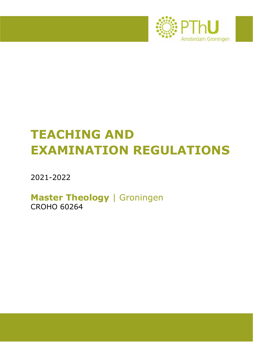

# **TEACHING AND EXAMINATION REGULATIONS**

2021-2022

**Master Theology** | Groningen CROHO 60264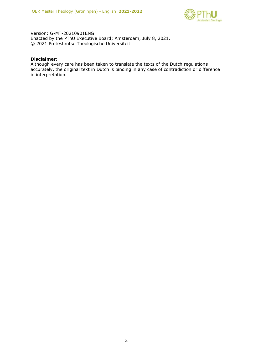

Version: G-MT-20210901ENG Enacted by the PThU Executive Board; Amsterdam, July 8, 2021. © 2021 Protestantse Theologische Universiteit

#### **Disclaimer:**

Although every care has been taken to translate the texts of the Dutch regulations accurately, the original text in Dutch is binding in any case of contradiction or difference in interpretation.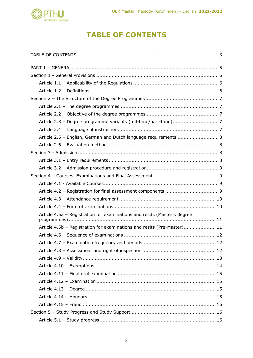

# **TABLE OF CONTENTS**

<span id="page-2-0"></span>

| Article 2.4                                                              |
|--------------------------------------------------------------------------|
| Article 2.5 - English, German and Dutch language requirements  8         |
|                                                                          |
|                                                                          |
|                                                                          |
|                                                                          |
|                                                                          |
|                                                                          |
|                                                                          |
|                                                                          |
|                                                                          |
| Article 4.5a - Registration for examinations and resits (Master's degree |
| Article 4.5b - Registration for examinations and resits (Pre-Master) 11  |
|                                                                          |
|                                                                          |
|                                                                          |
|                                                                          |
|                                                                          |
|                                                                          |
|                                                                          |
|                                                                          |
|                                                                          |
|                                                                          |
|                                                                          |
|                                                                          |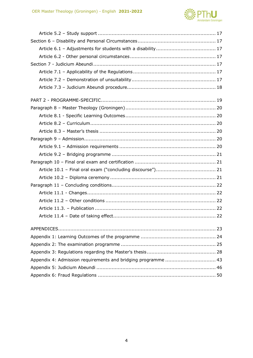

| Appendix 4: Admission requirements and bridging programme  43 |
|---------------------------------------------------------------|
|                                                               |
|                                                               |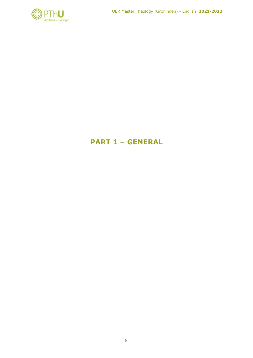

# <span id="page-4-0"></span>**PART 1 – GENERAL**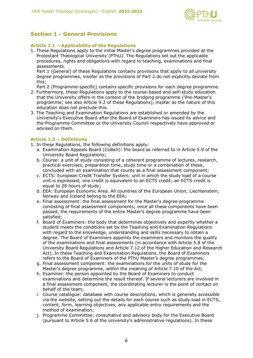

### <span id="page-5-0"></span>**Section 1 - General Provisions**

### <span id="page-5-1"></span>**Article 1.1 – Applicability of the Regulations**

1. These Regulations apply to the initial Master's degree programmes provided at the Protestant Theological University (PThU). The Regulations set out the applicable procedures, rights and obligations with regard to teaching, examinations and final assessments.

Part 1 (General) of these Regulations contains provisions that apply to all university degree programmes, insofar as the provisions of Part 2 do not explicitly deviate from this;

Part 2 (Programme-specific) contains specific provisions for each degree programme.

- 2. Furthermore, these Regulations apply to the course-based and self-study education that the University offers in the context of the bridging programme ('Pre-Master's programme; see also Article 9.2 of these Regulations), insofar as the nature of this education does not preclude this.
- 3. The Teaching and Examination Regulations are established or amended by the University's Executive Board after the Board of Examiners has issued its advice and the Programme Committee or the University Council respectively have approved or advised on them.

### <span id="page-5-2"></span>**Article 1.2 – Definitions**

- 1. In these Regulations, the following definitions apply:
	- a. Examination Appeals Board (CoBeX): the board as referred to in Article 5.9 of the University Board Regulations;
	- b. Course: a unit of study consisting of a coherent programme of lectures, research, practical exercises, preparation time, study time or a combination of these, concluded with an examination that counts as a final assessment component;
	- c. ECTS: European Credit Transfer System; unit in which the study load of a course unit is expressed; one credit is equivalent to an ECTS credit; an ECTS credit is equal to 28 hours of study;
	- d. EEA: European Economic Area. All countries of the European Union, Liechtenstein, Norway and Iceland belong to the EEA;
	- e. Final assessment: the final assessment for the Master's degree programme consisting of final assessment components; once all these components have been passed, the requirements of the entire Master's degree programme have been satisfied;
	- f. Board of Examiners: the body that determines objectively and expertly whether a student meets the conditions set by the Teaching and Examination Regulations with regard to the knowledge, understanding and skills necessary to obtain a degree. The Board of Examiners appoints the examiners and monitors the quality of the examinations and final assessments (in accordance with Article 5.8 of the University Board Regulations and Article 7.12 of the Higher Education and Research Act). In these Teaching and Examination Regulations, the Board of Examiners refers to the Board of Examiners of the PThU Master's degree programmes;
	- g. Final assessment component: the examinations for the units of study for the Master's degree programme, within the meaning of Article 7.10 of the Act;
	- h. Examiner: the person appointed by the Board of Examiners to conduct examinations and determine the result thereof. If several lecturers are involved in a final assessment component, the coordinating lecturer is the point of contact on behalf of the team;
	- i. Course catalogue: database with course descriptions, which is generally accessible via the website, setting out the details for each course such as study load in ECTS, content, form, learning objectives, any applicable entry requirements and the method of examination;
	- j. Programme Committee: consultative and advisory body for the Executive Board (pursuant to Article 5.6 of the university's administrative regulations). In these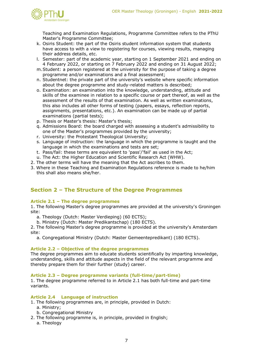

Teaching and Examination Regulations, Programme Committee refers to the PThU Master's Programme Committee;

- k. Osiris Student: the part of the Osiris student information system that students have access to with a view to registering for courses, viewing results, managing their address details, etc.
- l. Semester: part of the academic year, starting on 1 September 2021 and ending on 4 February 2022, or starting on 7 February 2022 and ending on 31 August 2022;
- m.Student: a person registered at the university for the purpose of taking a degree programme and/or examinations and a final assessment;
- n. Studentnet: the private part of the university's website where specific information about the degree programme and study-related matters is described;
- o. Examination: an examination into the knowledge, understanding, attitude and skills of the examinee in relation to a specific course or part thereof, as well as the assessment of the results of that examination. As well as written examinations, this also includes all other forms of testing (papers, essays, reflection reports, assignments, presentations, etc.). An examination can be made up of partial examinations (partial tests);
- p. Thesis or Master's thesis: Master's thesis;
- q. Admissions Board: the board charged with assessing a student's admissibility to one of the Master's programmes provided by the university;
- r. University: the Protestant Theological University;
- s. Language of instruction: the language in which the programme is taught and the language in which the examinations and tests are set;
- t. Pass/fail: these terms are equivalent to 'pass'/'fail' as used in the Act;
- u. The Act: the Higher Education and Scientific Research Act (WHW).
- 2. The other terms will have the meaning that the Act ascribes to them.
- 3. Where in these Teaching and Examination Regulations reference is made to he/him this shall also means she/her.

### <span id="page-6-0"></span>**Section 2 – The Structure of the Degree Programmes**

#### <span id="page-6-1"></span>**Article 2.1 – The degree programmes**

1. The following Master's degree programmes are provided at the university's Groningen site:

- a. Theology (Dutch: Master Verdieping) (60 ECTS);
- b. Ministry (Dutch: Master Predikantschap) (180 ECTS).

2. The following Master's degree programme is provided at the university's Amsterdam site:

a. Congregational Ministry (Dutch: Master Gemeentepredikant) (180 ECTS).

### <span id="page-6-2"></span>**Article 2.2 – Objective of the degree programmes**

The degree programmes aim to educate students scientifically by imparting knowledge, understanding, skills and attitude aspects in the field of the relevant programme and thereby prepare them for their further (study) career.

#### <span id="page-6-3"></span>**Article 2.3 – Degree programme variants (full-time/part-time)**

1. The degree programme referred to in Article 2.1 has both full-time and part-time variants.

### <span id="page-6-4"></span>**Article 2.4 Language of instruction**

- 1. The following programmes are, in principle, provided in Dutch:
	- a. Ministry;
	- b. Congregational Ministry
- 2. The following programme is, in principle, provided in English; a. Theology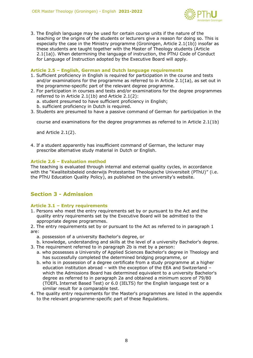

3. The English language may be used for certain course units if the nature of the teaching or the origins of the students or lecturers give a reason for doing so. This is especially the case in the Ministry programme (Groningen, Article 2.1(1b)) insofar as these students are taught together with the Master of Theology students (Article 2.1(1a)). When determining the language of instruction, the PThU Code of Conduct for Language of Instruction adopted by the Executive Board will apply.

### <span id="page-7-0"></span>**Article 2.5 – English, German and Dutch language requirements**

- 1. Sufficient proficiency in English is required for participation in the course and tests and/or examinations for the programme as referred to in Article 2.1(1a), as set out in the programme-specific part of the relevant degree programme.
- 2. For participation in courses and tests and/or examinations for the degree programmes referred to in Article 2.1(1b) and Article 2.1(2): a. student presumed to have sufficient proficiency in English;
	- b. sufficient proficiency in Dutch is required.
- 3. Students are presumed to have a passive command of German for participation in the

course and examinations for the degree programmes as referred to in Article 2.1(1b)

and Article 2.1(2).

4. If a student apparently has insufficient command of German, the lecturer may prescribe alternative study material in Dutch or English.

### <span id="page-7-1"></span>**Article 2.6 – Evaluation method**

The teaching is evaluated through internal and external quality cycles, in accordance with the "Kwaliteitsbeleid onderwijs Protestantse Theologische Universiteit (PThU)" (i.e. the PThU Education Quality Policy), as published on the university's website.

### <span id="page-7-2"></span>**Section 3 - Admission**

#### <span id="page-7-3"></span>**Article 3.1 – Entry requirements**

1. Persons who meet the entry requirements set by or pursuant to the Act and the quality entry requirements set by the Executive Board will be admitted to the appropriate degree programmes.

2. The entry requirements set by or pursuant to the Act as referred to in paragraph 1 are:

- a. possession of a university Bachelor's degree, or
- b. knowledge, understanding and skills at the level of a university Bachelor's degree.
- 3. The requirement referred to in paragraph 2b is met by a person:
	- a. who possesses a University of Applied Sciences Bachelor's degree in Theology and has successfully completed the determined bridging programme, or
	- b. who is in possession of a degree certificate from a study programme at a higher education institution abroad – with the exception of the EEA and Switzerland – which the Admissions Board has determined equivalent to a university Bachelor's degree as referred to in paragraph 2a and obtained a minimum score of 79/80 (TOEFL Internet Based Test) or 6.0 (IELTS) for the English language test or a similar result for a comparable test.
- 4. The quality entry requirements for the Master's programmes are listed in the appendix to the relevant programme-specific part of these Regulations.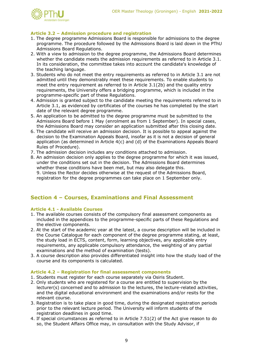

### <span id="page-8-0"></span>**Article 3.2 – Admission procedure and registration**

- 1. The degree programme Admissions Board is responsible for admissions to the degree programme. The procedure followed by the Admissions Board is laid down in the PThU Admissions Board Regulations.
- 2. With a view to admission to the degree programme, the Admissions Board determines whether the candidate meets the admission requirements as referred to in Article 3.1. In its consideration, the committee takes into account the candidate's knowledge of the teaching language.
- 3. Students who do not meet the entry requirements as referred to in Article 3.1 are not admitted until they demonstrably meet these requirements. To enable students to meet the entry requirement as referred to in Article 3.1(2b) and the quality entry requirements, the University offers a bridging programme, which is included in the programme-specific part of these Regulations.
- 4. Admission is granted subject to the candidate meeting the requirements referred to in Article 3.1, as evidenced by certificates of the courses he has completed by the start date of the relevant degree programme.
- 5. An application to be admitted to the degree programme must be submitted to the Admissions Board before 1 May (enrolment as from 1 September). In special cases, the Admissions Board may consider an application submitted after this closing date.
- 6. The candidate will receive an admission decision. It is possible to appeal against the decision to the Examination Appeals Board, insofar as it is not a decision of general application (as determined in Article 4(c) and (d) of the Examinations Appeals Board Rules of Procedure).
- 7. The admission decision includes any conditions attached to admission.
- 8. An admission decision only applies to the degree programme for which it was issued, under the conditions set out in the decision. The Admissions Board determines whether these conditions have been met, but may also delegate this.

9. Unless the Rector decides otherwise at the request of the Admissions Board, registration for the degree programmes can take place on 1 September only.

### <span id="page-8-1"></span>**Section 4 – Courses, Examinations and Final Assessment**

### <span id="page-8-2"></span>**Article 4.1 - Available Courses**

- 1. The available courses consists of the compulsory final assessment components as included in the appendices to the programme-specific parts of these Regulations and the elective components.
- 2. At the start of the academic year at the latest, a course description will be included in the Course Catalogue for each component of the degree programme stating, at least, the study load in ECTS, content, form, learning objectives, any applicable entry requirements, any applicable compulsory attendance, the weighting of any partial examinations and the method of examination (tests).
- 3. A course description also provides differentiated insight into how the study load of the course and its components is calculated.

### <span id="page-8-3"></span>**Article 4.2 – Registration for final assessment components**

- 1. Students must register for each course separately via Osiris Student.
- 2. Only students who are registered for a course are entitled to supervision by the lecturer(s) concerned and to admission to the lectures, the lecture-related activities, and the digital educational environment and the examinations and/or resits for the relevant course.
- 3. Registration is to take place in good time, during the designated registration periods prior to the relevant lecture period. The University will inform students of the registration deadlines in good time.
- 4. If special circumstances as referred to in Article 7.51(2) of the Act give reason to do so, the Student Affairs Office may, in consultation with the Study Advisor, if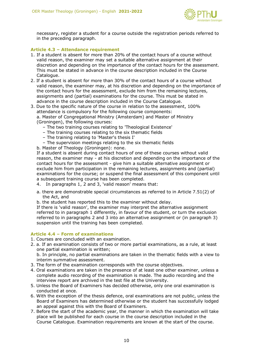

necessary, register a student for a course outside the registration periods referred to in the preceding paragraph.

### <span id="page-9-0"></span>**Article 4.3 – Attendance requirement**

- 1. If a student is absent for more than 20% of the contact hours of a course without valid reason, the examiner may set a suitable alternative assignment at their discretion and depending on the importance of the contact hours for the assessment. This must be stated in advance in the course description included in the Course Catalogue.
- 2. If a student is absent for more than 30% of the contact hours of a course without valid reason, the examiner may, at his discretion and depending on the importance of the contact hours for the assessment, exclude him from the remaining lectures, assignments and (partial) examinations for the course. This must be stated in advance in the course description included in the Course Catalogue.
- 3. Due to the specific nature of the course in relation to the assessment, 100% attendance is compulsory for the following course components: a. Master of Congregational Ministry (Amsterdam) and Master of Ministry

(Groningen), the following courses:

- The two training courses relating to 'Theological Existence'
- The training courses relating to the six thematic fields
- The training relating to 'Master's thesis I'
- The supervision meetings relating to the six thematic fields
- b. Master of Theology (Groningen): none.

If a student is absent during contact hours of one of these courses without valid reason, the examiner may - at his discretion and depending on the importance of the contact hours for the assessment - give him a suitable alternative assignment or exclude him from participation in the remaining lectures, assignments and (partial) examinations for the course; or suspend the final assessment of this component until a subsequent training course has been completed.

- 4. In paragraphs 1, 2 and 3, 'valid reason' means that:
- a. there are demonstrable special circumstances as referred to in Article 7.51(2) of the Act, and
- b. the student has reported this to the examiner without delay.

If there is 'valid reason', the examiner may interpret the alternative assignment referred to in paragraph 1 differently, in favour of the student, or turn the exclusion referred to in paragraphs 2 and 3 into an alternative assignment or (in paragraph 3) suspension until the training has been completed.

### <span id="page-9-1"></span>**Article 4.4 – Form of examinations**

- 1. Courses are concluded with an examination.
- 2. a. If an examination consists of two or more partial examinations, as a rule, at least one partial examination is written;

b. In principle, no partial examinations are taken in the thematic fields with a view to interim summative assessment.

- 3. The form of the examination corresponds with the course objectives.
- 4. Oral examinations are taken in the presence of at least one other examiner, unless a complete audio recording of the examination is made. The audio recording and the interview report are archived in the test file at the University.
- 5. Unless the Board of Examiners has decided otherwise, only one oral examination is conducted at once.
- 6. With the exception of the thesis defence, oral examinations are not public, unless the Board of Examiners has determined otherwise or the student has successfully lodged an appeal against this with the Board of Examiners.
- 7. Before the start of the academic year, the manner in which the examination will take place will be published for each course in the course description included in the Course Catalogue. Examination requirements are known at the start of the course.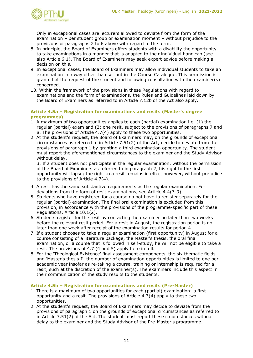

Only in exceptional cases are lecturers allowed to deviate from the form of the examination – per student group or examination moment – without prejudice to the provisions of paragraphs 2 to 6 above with regard to the form.

- 8. In principle, the Board of Examiners offers students with a disability the opportunity to take examinations in a manner that is adapted to their individual handicap (see also Article 6.1). The Board of Examiners may seek expert advice before making a decision on this.
- 9. In exceptional cases, the Board of Examiners may allow individual students to take an examination in a way other than set out in the Course Catalogue. This permission is granted at the request of the student and following consultation with the examiner(s) concerned.
- 10. Within the framework of the provisions in these Regulations with regard to examinations and the form of examinations, the Rules and Guidelines laid down by the Board of Examiners as referred to in Article 7.12b of the Act also apply.

### <span id="page-10-0"></span>**Article 4.5a – Registration for examinations and resits (Master's degree programmes)**

- 1. A maximum of two opportunities applies to each (partial) examination i.e. (1) the regular (partial) exam and (2) one resit, subject to the provisions of paragraphs 7 and 8. The provisions of Article 4.7(4) apply to these two opportunities.
- 2. At the student's request, the Board of Examiners may, on the grounds of exceptional circumstances as referred to in Article 7.51(2) of the Act, decide to deviate from the provisions of paragraph 1 by granting a third examination opportunity. The student must report the aforementioned circumstances to the examiner and the Study Advisor without delay.

3. If a student does not participate in the regular examination, without the permission of the Board of Examiners as referred to in paragraph 2, his right to the first opportunity will lapse; the right to a resit remains in effect however, without prejudice to the provisions of Article 4.7(4).

- 4. A resit has the same substantive requirements as the regular examination. For deviations from the form of resit examinations, see Article 4.4(7-9).
- 5. Students who have registered for a course do not have to register separately for the regular (partial) examination. The final oral examination is excluded from this provision, in accordance with the provisions of the programme-specific part of these Regulations, Article 10.1(2).
- 6. Students register for the resit by contacting the examiner no later than two weeks before the relevant resit period. For a resit in August, the registration period is no later than one week after receipt of the examination results for period 4.
- 7. If a student chooses to take a regular examination (first opportunity) in August for a course consisting of a literature package, the Master's thesis, the oral final examination, or a course that is followed in self-study, he will not be eligible to take a resit. The provisions of 4.7 (4 and 5) apply here in full.
- 8. For the 'Theological Existence' final assessment components, the six thematic fields and 'Master's thesis I', the number of examination opportunities is limited to one per academic year insofar as re-taking a course, training or internship is required for a resit, such at the discretion of the examiner(s). The examiners include this aspect in their communication of the study results to the students.

### <span id="page-10-1"></span>**Article 4.5b – Registration for examinations and resits (Pre-Master)**

- 1. There is a maximum of two opportunities for each (partial) examination: a first opportunity and a resit. The provisions of Article 4.7(4) apply to these two opportunities.
- 2. At the student's request, the Board of Examiners may decide to deviate from the provisions of paragraph 1 on the grounds of exceptional circumstances as referred to in Article 7.51(2) of the Act. The student must report these circumstances without delay to the examiner and the Study Advisor of the Pre-Master's programme.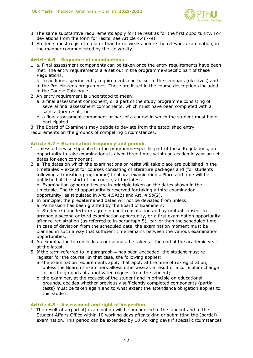

- 3. The same substantive requirements apply for the resit as for the first opportunity. For deviations from the form for resits, see Article 4.4(7-9).
- 4. Students must register no later than three weeks before the relevant examination, in the manner communicated by the University.

### <span id="page-11-0"></span>**Article 4.6 – Sequence of examinations**

1. a. Final assessment components can be taken once the entry requirements have been met. The entry requirements are set out in the programme-specific part of these Regulations.

b. In addition, specific entry requirements can be set in the seminars (electives) and in the Pre-Master's programmes. These are listed in the course descriptions included in the Course Catalogue.

- 2. An entry requirement is understood to mean:
	- a. a final assessment component, or a part of the study programme consisting of several final assessment components, which must have been completed with a satisfactory result; or
	- b. a final assessment component or part of a course in which the student must have participated.

3. The Board of Examiners may decide to deviate from the established entry requirements on the grounds of compelling circumstances.

### <span id="page-11-1"></span>**Article 4.7 – Examination frequency and periods**

- 1. Unless otherwise stipulated in the programme-specific part of these Regulations, an opportunity to take examinations is given three times within an academic year on set dates for each component.
- 2. a. The dates on which the examinations or resits will take place are published in the timetables – except for courses consisting of literature packages and (for students following a transition programme) final oral examinations. Place and time will be published at the start of the course, at the latest.

b. Examination opportunities are in principle taken on the dates shown in the timetable. The third opportunity is reserved for taking a third examination opportunity, as stipulated in Art. 4.5A(2) and Art. 4.5b(2).

- 3. In principle, the predetermined dates will not be deviated from unless: a. Permission has been granted by the Board of Examiners; b. Student(s) and lecturer agree in good consultation and by mutual consent to arrange a second or third examination opportunity, or a first examination opportunity after re-registration (as referred to in paragraph 5), earlier than the scheduled time. In case of deviation from the scheduled date, the examination moment must be planned in such a way that sufficient time remains between the various examination opportunities.
- 4. An examination to conclude a course must be taken at the end of the academic year at the latest.
- 5. If the term referred to in paragraph 4 has been exceeded, the student must reregister for the course. In that case, the following applies:
	- a. the examination requirements apply that apply at the time of re-registration, unless the Board of Examiners allows otherwise as a result of a curriculum change or on the grounds of a motivated request from the student;
	- b. the examiner, at the request of the student and in principle on educational grounds, decides whether previously sufficiently completed components (partial tests) must be taken again and to what extent the attendance obligation applies to this student.

#### <span id="page-11-2"></span>**Article 4.8 – Assessment and right of inspection**

1. The result of a (partial) examination will be announced to the student and to the Student Affairs Office within 10 working days after taking or submitting the (partial) examination. This period can be extended by 10 working days if special circumstances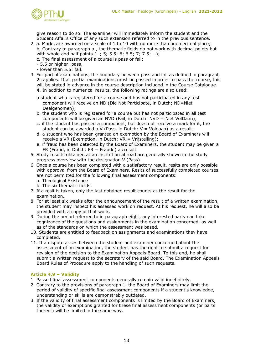

give reason to do so. The examiner will immediately inform the student and the Student Affairs Office of any such extension referred to in the previous sentence.

- 2. a. Marks are awarded on a scale of 1 to 10 with no more than one decimal place; b. Contrary to paragraph a., the thematic fields do not work with decimal points but with whole and half points (…; 5; 5.5; 6; 6.5; 7; 7.5; …);
	- c. The final assessment of a course is pass or fail:
	- 5.5 or higher: pass,
	- lower than 5.5: fail.
- 3. For partial examinations, the boundary between pass and fail as defined in paragraph 2c applies. If all partial examinations must be passed in order to pass the course, this will be stated in advance in the course description included in the Course Catalogue. 4. In addition to numerical results, the following ratings are also used:
	- a student who is registered for a course and has not participated in any test component will receive an ND (Did Not Participate, in Dutch; ND=Niet Deelgenomen);
	- b. the student who is registered for a course but has not participated in all test components will be given an NVD (Fail, in Dutch: NVD = Niet VolDaan);
	- c. if the student has passed a component, but does not receive a mark for it, the student can be awarded a V (Pass, in Dutch:  $V =$  Voldaan) as a result:
	- d. a student who has been granted an exemption by the Board of Examiners will receive a VR (Exemption, in Dutch: VR = Vrijstelling);
	- e. if fraud has been detected by the Board of Examiners, the student may be given a FR (Fraud, in Dutch:  $FR = Fraude$ ) as result.
- 5. Study results obtained at an institution abroad are generally shown in the study progress overview with the designation V (Pass).
- 6. Once a course has been completed with a satisfactory result, resits are only possible with approval from the Board of Examiners. Resits of successfully completed courses are not permitted for the following final assessment components:
	- a. Theological Existence
	- b. The six thematic fields.
- 7. If a resit is taken, only the last obtained result counts as the result for the examination.
- 8. For at least six weeks after the announcement of the result of a written examination, the student may inspect his assessed work on request. At his request, he will also be provided with a copy of that work.
- 9. During the period referred to in paragraph eight, any interested party can take cognizance of the questions and assignments in the examination concerned, as well as of the standards on which the assessment was based.
- 10. Students are entitled to feedback on assignments and examinations they have completed.
- 11. If a dispute arises between the student and examiner concerned about the assessment of an examination, the student has the right to submit a request for revision of the decision to the Examination Appeals Board. To this end, he shall submit a written request to the secretary of the said Board. The Examination Appeals Board Rules of Procedure apply to the handling of such requests.

### <span id="page-12-0"></span>**Article 4.9 – Validity**

- 1. Passed final assessment components generally remain valid indefinitely.
- 2. Contrary to the provisions of paragraph 1, the Board of Examiners may limit the period of validity of specific final assessment components if a student's knowledge, understanding or skills are demonstrably outdated.
- 3. If the validity of final assessment components is limited by the Board of Examiners, the validity of exemptions granted for these final assessment components (or parts thereof) will be limited in the same way.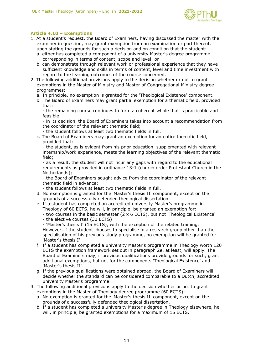

### <span id="page-13-0"></span>**Article 4.10 – Exemptions**

- 1. At a student's request, the Board of Examiners, having discussed the matter with the examiner in question, may grant exemption from an examination or part thereof, upon stating the grounds for such a decision and on condition that the student:
	- a. either has completed a component of a university Master's degree programme corresponding in terms of content, scope and level; or
	- b. can demonstrate through relevant work or professional experience that they have sufficient knowledge and skills in terms of content, level and time investment with regard to the learning outcomes of the course concerned.
- 2. The following additional provisions apply to the decision whether or not to grant exemptions in the Master of Ministry and Master of Congregational Ministry degree programmes:
	- a. In principle, no exemption is granted for the 'Theological Existence' component.
	- b. The Board of Examiners may grant partial exemption for a thematic field, provided that:

- the remaining course continues to form a coherent whole that is practicable and feasible;

- in its decision, the Board of Examiners takes into account a recommendation from the coordinator of the relevant thematic field;

- the student follows at least two thematic fields in full.
- c. The Board of Examiners may grant an exemption for an entire thematic field, provided that:

- the student, as is evident from his prior education, supplemented with relevant internship/work experience, meets the learning objectives of the relevant thematic field;

- as a result, the student will not incur any gaps with regard to the educational requirements as provided in ordinance 13-1 (church order Protestant Church in the Netherlands);

- the Board of Examiners sought advice from the coordinator of the relevant thematic field in advance;

- the student follows at least two thematic fields in full.

- d. No exemption is granted for the 'Master's thesis II' component, except on the grounds of a successfully defended theological dissertation.
- e. If a student has completed an accredited university Master's programme in Theology of 60 ECTS, he will, in principle, be granted an exemption for:
	- two courses in the basic semester (2 x 6 ECTS), but not 'Theological Existence'
	- the elective courses (30 ECTS)

- 'Master's thesis I' (15 ECTS), with the exception of the related training. However, if the student chooses to specialise in a research group other than the specialisation of his previous study programme, no exemption will be granted for 'Master's thesis I'

- f. If a student has completed a university Master's programme in Theology worth 120 ECTS the exemption framework set out in paragraph 2e, at least, will apply. The Board of Examiners may, if previous qualifications provide grounds for such, grant additional exemptions, but not for the components 'Theological Existence' and 'Master's thesis II'.
- g. If the previous qualifications were obtained abroad, the Board of Examiners will decide whether the standard can be considered comparable to a Dutch, accredited university Master's programme.
- 3. The following additional provisions apply to the decision whether or not to grant exemptions in the Master of Theology degree programme (60 ECTS):
	- a. No exemption is granted for the 'Master's thesis II' component, except on the grounds of a successfully defended theological dissertation.
	- b. If a student has completed a university Master's degree in Theology elsewhere, he will, in principle, be granted exemptions for a maximum of 15 ECTS.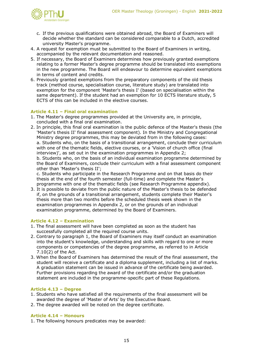

- c. If the previous qualifications were obtained abroad, the Board of Examiners will decide whether the standard can be considered comparable to a Dutch, accredited university Master's programme.
- 4. A request for exemption must be submitted to the Board of Examiners in writing, accompanied by the relevant documentation and reasoned.
- 5. If necessary, the Board of Examiners determines how previously granted exemptions relating to a former Master's degree programme should be translated into exemptions in the new programme. The Board will endeavour to determine equivalent exemptions in terms of content and credits.
- 6. Previously granted exemptions from the preparatory components of the old thesis track (method course, specialisation course, literature study) are translated into exemption for the component 'Master's thesis I' (based on specialisation within the same department). If the student had an exemption for 10 ECTS literature study, 5 ECTS of this can be included in the elective courses.

### <span id="page-14-0"></span>**Article 4.11 – Final oral examination**

- 1. The Master's degree programmes provided at the University are, in principle, concluded with a final oral examination.
- 2. In principle, this final oral examination is the public defence of the Master's thesis (the 'Master's thesis II' final assessment component). In the Ministry and Congregational Ministry degree programmes, this may be deviated from in the following cases: a. Students who, on the basis of a transitional arrangement, conclude their curriculum with one of the thematic fields, elective courses, or a 'Vision of church office (final interview)', as set out in the examination programmes in Appendix 2; b. Students who, on the basis of an individual examination programme determined by the Board of Examiners, conclude their curriculum with a final assessment component other than 'Master's thesis II';

c. Students who participate in the Research Programme and on that basis do their thesis at the end of the fourth semester (full-time) and complete the Master's programme with one of the thematic fields (see Research Programme appendix).

3. It is possible to deviate from the public nature of the Master's thesis to be defended if, on the grounds of a transitional arrangement, students complete their Master's thesis more than two months before the scheduled thesis week shown in the examination programmes in Appendix 2, or on the grounds of an individual examination programme, determined by the Board of Examiners.

### <span id="page-14-1"></span>**Article 4.12 – Examination**

- 1. The final assessment will have been completed as soon as the student has successfully completed all the required course units.
- 2. Contrary to paragraph 1, the Board of Examiners may itself conduct an examination into the student's knowledge, understanding and skills with regard to one or more components or competencies of the degree programme, as referred to in Article 7.10(2) of the Act.
- 3. When the Board of Examiners has determined the result of the final assessment, the student will receive a certificate and a diploma supplement, including a list of marks. A graduation statement can be issued in advance of the certificate being awarded. Further provisions regarding the award of the certificate and/or the graduation statement are included in the programme-specific part of these Regulations.

#### <span id="page-14-2"></span>**Article 4.13 – Degree**

- 1. Students who have satisfied all the requirements of the final assessment will be awarded the degree of 'Master of Arts' by the Executive Board.
- 2. The degree awarded will be noted on the degree certificate.

#### <span id="page-14-3"></span>**Article 4.14 – Honours**

1. The following honours predicates may be awarded: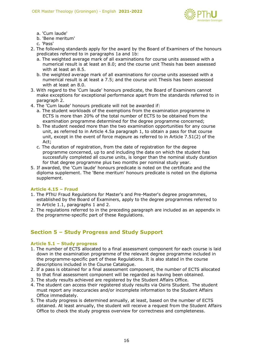

- a. 'Cum laude'
- b. 'Bene meritum'
- c. 'Pass'
- 2. The following standards apply for the award by the Board of Examiners of the honours predicates referred to in paragraphs 1a and 1b:
	- a. The weighted average mark of all examinations for course units assessed with a numerical result is at least an 8.0; and the course unit Thesis has been assessed with at least an 8.5.
	- b. the weighted average mark of all examinations for course units assessed with a numerical result is at least a 7.5; and the course unit Thesis has been assessed with at least an 8.0.
- 3. With regard to the 'Cum laude' honours predicate, the Board of Examiners cannot make exceptions for exceptional performance apart from the standards referred to in paragraph 2.
- 4. The 'Cum laude' honours predicate will not be awarded if:
	- a. The student workloads of the exemptions from the examination programme in ECTS is more than 20% of the total number of ECTS to be obtained from the examination programme determined for the degree programme concerned;
	- b. The student needed more than the two examination opportunities for any course unit, as referred to in Article 4.5a paragraph 1, to obtain a pass for that course unit, except in the event of force majeure as referred to in Article 7.51(2) of the Act;
	- c. The duration of registration, from the date of registration for the degree programme concerned, up to and including the date on which the student has successfully completed all course units, is longer than the nominal study duration for that degree programme plus two months per nominal study year.
- 5. If awarded, the 'Cum laude' honours predicate is noted on the certificate and the diploma supplement. The 'Bene meritum' honours predicate is noted on the diploma supplement.

### <span id="page-15-0"></span>**Article 4.15 – Fraud**

- 1. The PThU Fraud Regulations for Master's and Pre-Master's degree programmes, established by the Board of Examiners, apply to the degree programmes referred to in Article 1.1, paragraphs 1 and 2.
- 2. The regulations referred to in the preceding paragraph are included as an appendix in the programme-specific part of these Regulations.

### <span id="page-15-1"></span>**Section 5 – Study Progress and Study Support**

### <span id="page-15-2"></span>**Article 5.1 – Study progress**

- 1. The number of ECTS allocated to a final assessment component for each course is laid down in the examination programme of the relevant degree programme included in the programme-specific part of these Regulations. It is also stated in the course descriptions included in the Course Catalogue.
- 2. If a pass is obtained for a final assessment component, the number of ECTS allocated to that final assessment component will be regarded as having been obtained.
- 3. The study results achieved are registered by the Student Affairs Office.
- 4. The student can access their registered study results via Osiris Student. The student must report any inaccuracies and/or incomplete information to the Student Affairs Office immediately.
- 5. The study progress is determined annually, at least, based on the number of ECTS obtained. At least annually, the student will receive a request from the Student Affairs Office to check the study progress overview for correctness and completeness.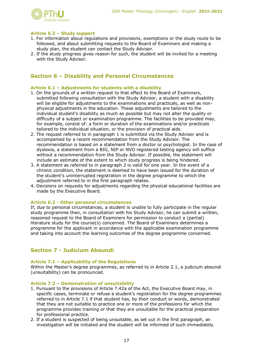

### <span id="page-16-0"></span>**Article 5.2 – Study support**

- 1. For information about regulations and provisions, exemptions or the study route to be followed, and about submitting requests to the Board of Examiners and making a study plan, the student can contact the Study Advisor.
- 2. If the study progress gives reason for such, the student will be invited for a meeting with the Study Advisor.

### <span id="page-16-1"></span>**Section 6 – Disability and Personal Circumstances**

### <span id="page-16-2"></span>**Article 6.1 – Adjustments for students with a disability**

- 1. On the grounds of a written request to that effect to the Board of Examiners, submitted following consultation with the Study Advisor, a student with a disability will be eligible for adjustments to the examinations and practicals, as well as nonphysical adjustments in the education. These adjustments are tailored to the individual student's disability as much as possible but may not alter the quality or difficulty of a subject or examination programme. The facilities to be provided may, for example, consist of: a form or duration of the examinations and/or practicals tailored to the individual situation, or the provision of practical aids.
- 2. The request referred to in paragraph 1 is submitted via the Study Advisor and is accompanied by a recent recommendation from the Study Advisor. The recommendation is based on a statement from a doctor or psychologist. In the case of dyslexia, a statement from a BIG, NIP or NVO registered testing agency will suffice without a recommendation from the Study Advisor. If possible, the statement will include an estimate of the extent to which study progress is being hindered.
- 3. A statement as referred to in paragraph 2 is valid for one year. In the event of a chronic condition, the statement is deemed to have been issued for the duration of the student's uninterrupted registration in the degree programme to which the adjustment referred to in the first paragraph relates.
- 4. Decisions on requests for adjustments regarding the physical educational facilities are made by the Executive Board.

#### <span id="page-16-3"></span>**Article 6.2 - Other personal circumstances**

If, due to personal circumstances, a student is unable to fully participate in the regular study programme then, in consultation with his Study Advisor, he can submit a written, reasoned request to the Board of Examiners for permission to conduct a (partial) literature study for the course(s) concerned. The Board of Examiners determines a programme for the applicant in accordance with the applicable examination programme and taking into account the learning outcomes of the degree programme concerned.

### <span id="page-16-4"></span>**Section 7 - Judicium Abeundi**

#### <span id="page-16-5"></span>**Article 7.1 – Applicability of the Regulations**

Within the Master's degree programmes, as referred to in Article 2.1, a judicium abeundi (unsuitability) can be pronounced.

#### <span id="page-16-6"></span>**Article 7.2 – Demonstration of unsuitability**

- 1. Pursuant to the provisions of Article 7.42a of the Act, the Executive Board may, in specific cases, terminate or refuse a student's registration for the degree programmes referred to in Article 7.1 if that student has, by their conduct or words, demonstrated that they are not suitable to practice one or more of the professions for which the programme provides training or that they are unsuitable for the practical preparation for professional practice.
- 2. If a student is suspected of being unsuitable, as set out in the first paragraph, an investigation will be initiated and the student will be informed of such immediately.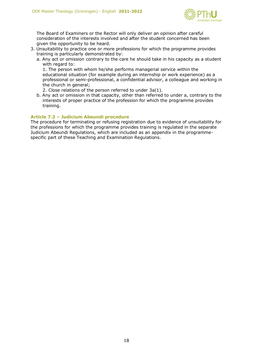

The Board of Examiners or the Rector will only deliver an opinion after careful consideration of the interests involved and after the student concerned has been given the opportunity to be heard.

- 3. Unsuitability to practice one or more professions for which the programme provides training is particularly demonstrated by:
	- a. Any act or omission contrary to the care he should take in his capacity as a student with regard to:

1. The person with whom he/she performs managerial service within the educational situation (for example during an internship or work experience) as a professional or semi-professional, a confidential advisor, a colleague and working in the church in general;

2. Close relations of the person referred to under 3a(1).

b. Any act or omission in that capacity, other than referred to under a, contrary to the interests of proper practice of the profession for which the programme provides training.

### <span id="page-17-0"></span>**Article 7.3 – Judicium Abeundi procedure**

The procedure for terminating or refusing registration due to evidence of unsuitability for the professions for which the programme provides training is regulated in the separate Judicium Abeundi Regulations, which are included as an appendix in the programmespecific part of these Teaching and Examination Regulations.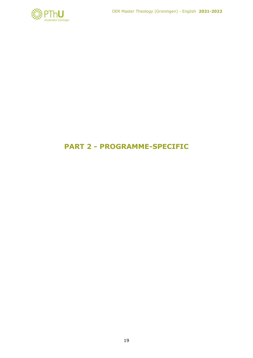# <span id="page-18-0"></span>**PART 2 - PROGRAMME-SPECIFIC**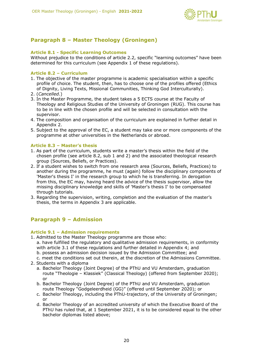

### <span id="page-19-0"></span>**Paragraph 8 – Master Theology (Groningen)**

### <span id="page-19-1"></span>**Article 8.1 - Specific Learning Outcomes**

Without prejudice to the conditions of article 2.2, specific "learning outcomes" have been determined for this curriculum (see Appendix 1 of these regulations).

### <span id="page-19-2"></span>**Article 8.2 – Curriculum**

- 1. The objective of the master programme is academic specialisation within a specific profile of choice. The student, then, has to choose one of the profiles offered (Ethics of Dignity, Living Texts, Missional Communities, Thinking God Interculturally).
- 2. (*Cancelled.*)
- 3. In the Master Programme, the student takes a 5 ECTS course at the Faculty of Theology and Religious Studies of the University of Groningen (RUG). This course has to be in line with the chosen profile and will be selected in consultation with the supervisor.
- 4. The composition and organisation of the curriculum are explained in further detail in Appendix 2.
- 5. Subject to the approval of the EC, a student may take one or more components of the programme at other universities in the Netherlands or abroad.

### <span id="page-19-3"></span>**Article 8.3 – Master's thesis**

- 1. As part of the curriculum, students write a master's thesis within the field of the chosen profile (see article 8.2, sub 1 and 2) and the associated theological research group (Sources, Beliefs, or Practices).
- 2. If a student wishes to switch from one research area (Sources, Beliefs, Practices) to another during the programme, he must (again) follow the disciplinary components of 'Master's thesis I' in the research group to which he is transferring. In derogation from this, the EC may, having heard the advice of the thesis supervisor, allow the missing disciplinary knowledge and skills of 'Master's thesis I' to be compensated through tutorials.
- 3. Regarding the supervision, writing, completion and the evaluation of the master's thesis, the terms in Appendix 3 are applicable.

### <span id="page-19-4"></span>**Paragraph 9 – Admission**

### <span id="page-19-5"></span>**Article 9.1 – Admission requirements**

- 1. Admitted to the Master Theology programme are those who:
- a. have fulfilled the regulatory and qualitative admission requirements, in conformity with article 3.1 of these regulations and further detailed in Appendix 4; and b. possess an admission decision issued by the Admission Committee; and
	-
	- c. meet the conditions set out therein, at the discretion of the Admissions Committee.
- 2. Students with a diploma
	- a. Bachelor Theology (Joint Degree) of the PThU and VU Amsterdam, graduation route "Theologie – Klassiek" (Classical Theology) (offered from September 2020); or
	- b. Bachelor Theology (Joint Degree) of the PThU and VU Amsterdam, graduation route Theology "Godgeleerdheid (GG)" (offered until September 2020); or
	- c. Bachelor Theology, including the PThU-trajectory, of the University of Groningen; or
	- d. Bachelor Theology of an accredited university of which the Executive Board of the PThU has ruled that, at 1 September 2021, it is to be considered equal to the other bachelor diplomas listed above;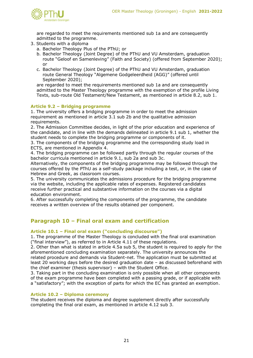

are regarded to meet the requirements mentioned sub 1a and are consequently admitted to the programme.

- 3. Students with a diploma
	- a. Bachelor Theology Plus of the PThU; or
	- b. Bachelor Theology (Joint Degree) of the PThU and VU Amsterdam, graduation route "Geloof en Samenleving" (Faith and Society) (offered from September 2020); or
	- c. Bachelor Theology (Joint Degree) of the PThU and VU Amsterdam, graduation route General Theology "Algemene Godgeleerdheid (AGG)" (offered until September 2020);

are regarded to meet the requirements mentioned sub 1a and are consequently admitted to the Master Theology programme with the exemption of the profile Living Texts, sub-route Old Testament/New Testament, as mentioned in article 8.2, sub 1.

### <span id="page-20-0"></span>**Article 9.2 – Bridging programme**

1. The university offers a bridging programme in order to meet the admission requirement as mentioned in article 3.1 sub 2b and the qualitative admission requirements.

2. The Admission Committee decides, in light of the prior education and experience of the candidate, and in line with the demands delineated in article 9.1 sub 1, whether the student needs to complete the bridging programme or components of it.

3. The components of the bridging programme and the corresponding study load in ECTS, are mentioned in Appendix 4.

4. The bridging programme can be followed partly through the regular courses of the bachelor curricula mentioned in article 9.1, sub 2a and sub 3c.

Alternatively, the components of the bridging programme may be followed through the courses offered by the PThU as a self-study package including a test, or, in the case of Hebrew and Greek, as classroom courses.

5. The university communicates the admissions procedure for the bridging programme via the website, including the applicable rates of expenses. Registered candidates receive further practical and substantive information on the courses via a digital education environment.

6. After successfully completing the components of the programme, the candidate receives a written overview of the results obtained per component.

### <span id="page-20-1"></span>**Paragraph 10 – Final oral exam and certification**

### <span id="page-20-2"></span>**Article 10.1 – Final oral exam ("concluding discourse")**

1. The programme of the Master Theology is concluded with the final oral examination ("final interview"), as referred to in Article 4.11 of these regulations.

2. Other than what is stated in article 4.5a sub 5, the student is required to apply for the aforementioned concluding examination separately. The university announces the related procedure and demands via Student-net. The application must be submitted at least 20 working days before the desired graduation date – as discussed beforehand with the chief examiner (thesis supervisor) – with the Student Office.

3. Taking part in the concluding examination is only possible when all other components of the exam programme have been completed with a passing grade, or if applicable with a "satisfactory"; with the exception of parts for which the EC has granted an exemption.

#### <span id="page-20-3"></span>**Article 10.2 – Diploma ceremony**

The student receives the diploma and degree supplement directly after successfully completing the final oral exam, as mentioned in article 4.12 sub 3.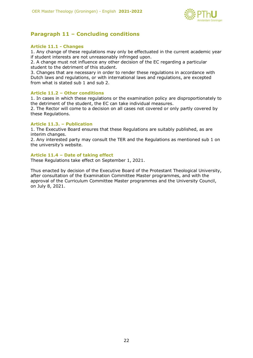

### <span id="page-21-0"></span>**Paragraph 11 – Concluding conditions**

### <span id="page-21-1"></span>**Article 11.1 - Changes**

1. Any change of these regulations may only be effectuated in the current academic year if student interests are not unreasonably infringed upon.

2. A change must not influence any other decision of the EC regarding a particular student to the detriment of this student.

3. Changes that are necessary in order to render these regulations in accordance with Dutch laws and regulations, or with international laws and regulations, are excepted from what is stated sub 1 and sub 2.

### <span id="page-21-2"></span>**Article 11.2 – Other conditions**

1. In cases in which these regulations or the examination policy are disproportionately to the detriment of the student, the EC can take individual measures.

2. The Rector will come to a decision on all cases not covered or only partly covered by these Regulations.

### <span id="page-21-3"></span>**Article 11.3. – Publication**

1. The Executive Board ensures that these Regulations are suitably published, as are interim changes.

2. Any interested party may consult the TER and the Regulations as mentioned sub 1 on the university's website.

### <span id="page-21-4"></span>**Article 11.4 – Date of taking effect**

These Regulations take effect on September 1, 2021.

Thus enacted by decision of the Executive Board of the Protestant Theological University, after consultation of the Examination Committee Master programmes, and with the approval of the Curriculum Committee Master programmes and the University Council, on July 8, 2021.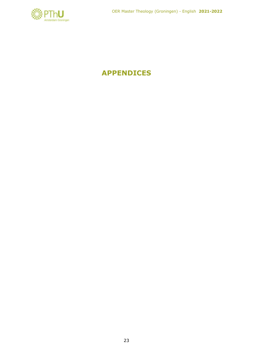<span id="page-22-0"></span>

## **APPENDICES**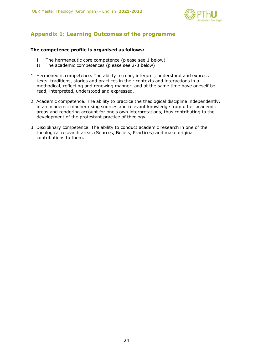

### <span id="page-23-0"></span>**Appendix 1: Learning Outcomes of the programme**

### **The competence profile is organised as follows:**

- I The hermeneutic core competence (please see 1 below)
- II The academic competences (please see 2-3 below)
- 1. Hermeneutic competence. The ability to read, interpret, understand and express texts, traditions, stories and practices in their contexts and interactions in a methodical, reflecting and renewing manner, and at the same time have oneself be read, interpreted, understood and expressed.
- 2. Academic competence. The ability to practice the theological discipline independently, in an academic manner using sources and relevant knowledge from other academic areas and rendering account for one's own interpretations, thus contributing to the development of the protestant practice of theology.
- 3. Disciplinary competence. The ability to conduct academic research in one of the theological research areas (Sources, Beliefs, Practices) and make original contributions to them.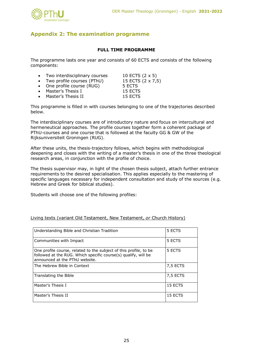

### <span id="page-24-0"></span>**Appendix 2: The examination programme**

### **FULL TIME PROGRAMME**

The programme lasts one year and consists of 60 ECTS and consists of the following components:

This programme is filled in with courses belonging to one of the trajectories described below.

The interdisciplinary courses are of introductory nature and focus on intercultural and hermeneutical approaches. The profile courses together form a coherent package of PThU-courses and one course that is followed at the faculty GG & GW of the Rijksuniversiteit Groningen (RUG).

After these units, the thesis-trajectory follows, which begins with methodological deepening and closes with the writing of a master's thesis in one of the three theological research areas, in conjunction with the profile of choice.

The thesis supervisor may, in light of the chosen thesis subject, attach further entrance requirements to the desired specialisation. This applies especially to the mastering of specific languages necessary for independent consultation and study of the sources (e.g. Hebrew and Greek for biblical studies).

Students will choose one of the following profiles:

| Understanding Bible and Christian Tradition                                                                                                                           | 5 ECTS   |
|-----------------------------------------------------------------------------------------------------------------------------------------------------------------------|----------|
| Communities with Impact                                                                                                                                               | 5 ECTS   |
| One profile course, related to the subject of this profile, to be<br>followed at the RUG. Which specific course(s) qualify, will be<br>announced at the PThU website. | 5 ECTS   |
| The Hebrew Bible in Context                                                                                                                                           | 7,5 ECTS |
| Translating the Bible                                                                                                                                                 | 7,5 ECTS |
| Master's Thesis I                                                                                                                                                     | 15 ECTS  |
| Master's Thesis II                                                                                                                                                    | 15 ECTS  |

### Living texts (variant Old Testament, New Testament, *or* Church History)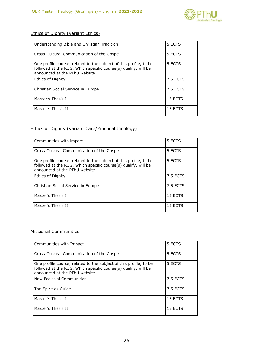

### Ethics of Dignity (variant Ethics)

| Understanding Bible and Christian Tradition                                                                                                                           | 5 ECTS   |
|-----------------------------------------------------------------------------------------------------------------------------------------------------------------------|----------|
| Cross-Cultural Communication of the Gospel                                                                                                                            | 5 ECTS   |
| One profile course, related to the subject of this profile, to be<br>followed at the RUG. Which specific course(s) qualify, will be<br>announced at the PThU website. | 5 ECTS   |
| Ethics of Dignity                                                                                                                                                     | 7,5 ECTS |
| Christian Social Service in Europe                                                                                                                                    | 7,5 ECTS |
| Master's Thesis I                                                                                                                                                     | 15 ECTS  |
| Master's Thesis II                                                                                                                                                    | 15 ECTS  |

### Ethics of Dignity (variant Care/Practical theology)

| Communities with impact                                                                                                                                               | 5 ECTS   |
|-----------------------------------------------------------------------------------------------------------------------------------------------------------------------|----------|
| Cross-Cultural Communication of the Gospel                                                                                                                            | 5 ECTS   |
| One profile course, related to the subject of this profile, to be<br>followed at the RUG. Which specific course(s) qualify, will be<br>announced at the PThU website. | 5 ECTS   |
| Ethics of Dignity                                                                                                                                                     | 7,5 ECTS |
| Christian Social Service in Europe                                                                                                                                    | 7,5 ECTS |
| Master's Thesis I                                                                                                                                                     | 15 ECTS  |
| Master's Thesis II                                                                                                                                                    | 15 ECTS  |

### Missional Communities

| Communities with Impact                                                                                                                                               | 5 ECTS   |
|-----------------------------------------------------------------------------------------------------------------------------------------------------------------------|----------|
| Cross-Cultural Communication of the Gospel                                                                                                                            | 5 ECTS   |
| One profile course, related to the subject of this profile, to be<br>followed at the RUG. Which specific course(s) qualify, will be<br>announced at the PThU website. | 5 ECTS   |
| New Ecclesial Communities                                                                                                                                             | 7,5 ECTS |
| The Spirit as Guide                                                                                                                                                   | 7,5 ECTS |
| Master's Thesis I                                                                                                                                                     | 15 ECTS  |
| Master's Thesis II                                                                                                                                                    | 15 ECTS  |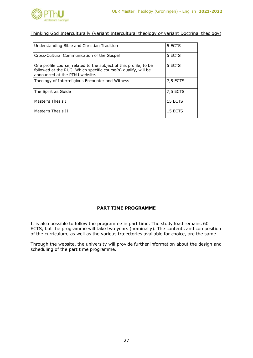

### Thinking God Interculturally (variant Intercultural theology *or* variant Doctrinal theology)

| Understanding Bible and Christian Tradition                                                                                                                           | 5 ECTS   |
|-----------------------------------------------------------------------------------------------------------------------------------------------------------------------|----------|
| Cross-Cultural Communication of the Gospel                                                                                                                            | 5 ECTS   |
| One profile course, related to the subject of this profile, to be<br>followed at the RUG. Which specific course(s) qualify, will be<br>announced at the PThU website. | 5 FCTS   |
| Theology of Interreligious Encounter and Witness                                                                                                                      | 7,5 ECTS |
| The Spirit as Guide                                                                                                                                                   | 7,5 ECTS |
| Master's Thesis I                                                                                                                                                     | 15 ECTS  |
| Master's Thesis II                                                                                                                                                    | 15 ECTS  |

### **PART TIME PROGRAMME**

It is also possible to follow the programme in part time. The study load remains 60 ECTS, but the programme will take two years (nominally). The contents and composition of the curriculum, as well as the various trajectories available for choice, are the same.

Through the website, the university will provide further information about the design and scheduling of the part time programme.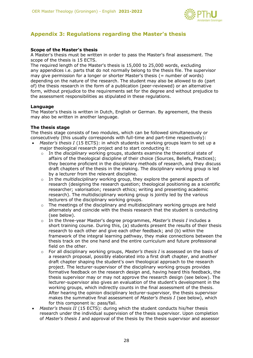

### <span id="page-27-0"></span>**Appendix 3: Regulations regarding the Master's thesis**

### **Scope of the Master's thesis**

A Master's thesis must be written in order to pass the Master's final assessment. The scope of the thesis is 15 ECTS.

The required length of the Master's thesis is 15,000 to 25,000 words, excluding any appendices i.e. parts that do not normally belong to the thesis file. The supervisor may give permission for a longer or shorter Master's thesis (= number of words) depending on the nature of the research. The student may also be allowed to do (part of) the thesis research in the form of a publication (peer-reviewed) or an alternative form, without prejudice to the requirements set for the degree and without prejudice to the assessment responsibilities as stipulated in these regulations.

### **Language**

The Master's thesis is written in Dutch, English or German. By agreement, the thesis may also be written in another language.

### **The thesis stage**

The thesis stage consists of two modules, which can be followed simultaneously or consecutively (this usually corresponds with full-time and part-time respectively):

- *Master's thesis I* (15 ECTS): in which students in working groups learn to set up a major theological research project and to start conducting it:
	- o In the *disciplinary* working groups, students examine the theoretical state of affairs of the theological discipline of their choice (Sources, Beliefs, Practices); they become proficient in the disciplinary methods of research, and they discuss draft chapters of the thesis in the making. The disciplinary working group is led by a lecturer from the relevant discipline.
	- o In the *multidisciplinary* working group, they explore the general aspects of research (designing the research question; theological positioning as a scientific researcher; valorisation; research ethics; writing and presenting academic research). The multidisciplinary working group is jointly led by the various lecturers of the disciplinary working groups.
	- $\circ$  The meetings of the disciplinary and multidisciplinary working groups are held alternately and coincide with the thesis research that the student is conducting (see below).
	- o In the three-year Master's degree programmes, *Master's thesis I* includes a short training course. During this, (a) students present the results of their thesis research to each other and give each other feedback; and (b) within the framework of the integral learning pathway, they make connections between the thesis track on the one hand and the entire curriculum and future professional field on the other.
	- o For all disciplinary working groups, *Master's thesis I* is assessed on the basis of a research proposal, possibly elaborated into a first draft chapter, and another draft chapter shaping the student's own theological approach to the research project. The lecturer-supervisor of the disciplinary working groups provides formative feedback on the research design and, having heard this feedback, the thesis supervisor may or may not approve the research design (see below). The lecturer-supervisor also gives an evaluation of the student's development in the working groups, which indirectly counts in the final assessment of the thesis. After hearing the opinion disciplinary lecturer-supervisor, the thesis supervisor makes the summative final assessment of *Master's thesis I* (see below), which for this component is: pass/fail.
- *Master's thesis II* (15 ECTS): during which the student conducts his/her thesis research under the individual supervision of the thesis supervisor. Upon completion of *Master's thesis I* and approval of the thesis by the thesis supervisor and assessor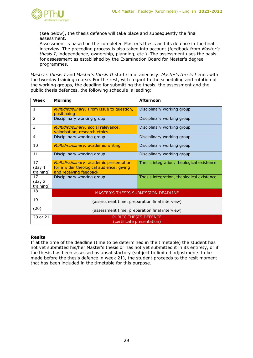

(see below), the thesis defence will take place and subsequently the final assessment.

Assessment is based on the completed Master's thesis and its defence in the final interview. The preceding process is also taken into account (feedback from *Master's thesis I*, independence, ownership, planning, etc.). The assessment uses the basis for assessment as established by the Examination Board for Master's degree programmes.

*Master's thesis I* and *Master's thesis II* start simultaneously. *Master's thesis I* ends with the two-day training course. For the rest, with regard to the scheduling and rotation of the working groups, the deadline for submitting the thesis, the assessment and the public thesis defences, the following schedule is leading:

| Week                                   | <b>Morning</b><br><b>Afternoon</b>                                                                             |                                           |  |  |  |
|----------------------------------------|----------------------------------------------------------------------------------------------------------------|-------------------------------------------|--|--|--|
| 1                                      | Multidisciplinary: From issue to question,<br>positioning                                                      | Disciplinary working group                |  |  |  |
| $\overline{2}$                         | Disciplinary working group                                                                                     | Disciplinary working group                |  |  |  |
| 3                                      | Multidisciplinary: social relevance,<br>valorisation, research ethics                                          | Disciplinary working group                |  |  |  |
| 4                                      | Disciplinary working group                                                                                     | Disciplinary working group                |  |  |  |
| 10                                     | Multidisciplinary: academic writing                                                                            | Disciplinary working group                |  |  |  |
| 11                                     | Disciplinary working group                                                                                     | Disciplinary working group                |  |  |  |
| 17<br>(day 1)<br>training)             | Multidisciplinary: academic presentation<br>for a wider theological audience; giving<br>and receiving feedback | Thesis integration, theological existence |  |  |  |
| 17<br>(day <sub>2</sub> )<br>training) | Disciplinary working group                                                                                     | Thesis integration, theological existence |  |  |  |
| 18                                     | MASTER'S THESIS SUBMISSION DEADLINE                                                                            |                                           |  |  |  |
| 19                                     | (assessment time, preparation final interview)                                                                 |                                           |  |  |  |
| (20)                                   | (assessment time, preparation final interview)                                                                 |                                           |  |  |  |
| 20 or 21                               | <b>PUBLIC THESIS DEFENCE</b><br>(certificate presentation)                                                     |                                           |  |  |  |

### **Resits**

If at the time of the deadline (time to be determined in the timetable) the student has not yet submitted his/her Master's thesis or has not yet submitted it in its entirety, or if the thesis has been assessed as unsatisfactory (subject to limited adjustments to be made before the thesis defence in week 21), the student proceeds to the resit moment that has been included in the timetable for this purpose.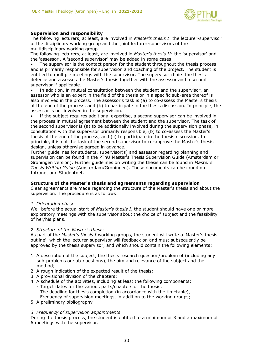

### **Supervision and responsibility**

The following lecturers, at least, are involved in *Master's thesis I*: the lecturer-supervisor of the disciplinary working group and the joint lecturer-supervisors of the multidisciplinary working group.

The following lecturers, at least, are involved in *Master's thesis II*: the 'supervisor' and the 'assessor'. A 'second supervisor' may be added in some cases.

The supervisor is the contact person for the student throughout the thesis process and is primarily responsible for supervision and coaching of the project. The student is entitled to multiple meetings with the supervisor. The supervisor chairs the thesis defence and assesses the Master's thesis together with the assessor and a second supervisor if applicable.

In addition, in mutual consultation between the student and the supervisor, an assessor who is an expert in the field of the thesis or in a specific sub-area thereof is also involved in the process. The assessor's task is (a) to co-assess the Master's thesis at the end of the process, and (b) to participate in the thesis discussion. In principle, the assessor is not involved in the supervision.

If the subject requires additional expertise, a second supervisor can be involved in the process in mutual agreement between the student and the supervisor. The task of the second supervisor is (a) to be additionally involved during the supervision phase, in consultation with the supervisor primarily responsible, (b) to co-assess the Master's thesis at the end of the process, and (c) to participate in the thesis discussion. In principle, it is not the task of the second supervisor to co-approve the Master's thesis design, unless otherwise agreed in advance.

Further guidelines for students, supervisor(s) and assessor regarding planning and supervision can be found in the PThU Master's Thesis Supervision Guide (Amsterdam or Groningen version). Further guidelines on writing the thesis can be found in *Master's Thesis Writing Guide* (Amsterdam/Groningen). These documents can be found on Intranet and Studentnet.

### **Structure of the Master's thesis and agreements regarding supervision**

Clear agreements are made regarding the structure of the Master's thesis and about the supervision. The procedure is as follows:

#### *1. Orientation phase*

Well before the actual start of *Master's thesis I*, the student should have one or more exploratory meetings with the supervisor about the choice of subject and the feasibility of her/his plans.

#### *2. Structure of the Master's thesis*

As part of the *Master's thesis I* working groups, the student will write a 'Master's thesis outline', which the lecturer-supervisor will feedback on and must subsequently be approved by the thesis supervisor, and which should contain the following elements:

- 1. A description of the subject, the thesis research question/problem of (including any sub-problems or sub-questions), the aim and relevance of the subject and the method;
- 2. A rough indication of the expected result of the thesis;
- 3. A provisional division of the chapters;
- 4. A schedule of the activities, including at least the following components:
	- Target dates for the various parts/chapters of the thesis,
	- The deadline for thesis completion (in accordance with the timetable),
	- Frequency of supervision meetings, in addition to the working groups;
- 5. A preliminary bibliography

#### *3. Frequency of supervision appointments*

During the thesis process, the student is entitled to a minimum of 3 and a maximum of 6 meetings with the supervisor.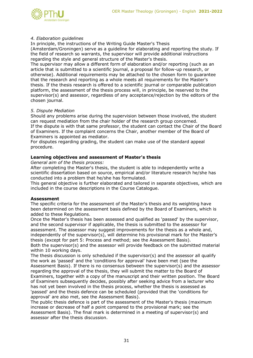

### *4. Elaboration guidelines*

In principle, the instructions of the Writing Guide Master's Thesis

(Amsterdam/Groningen) serve as a guideline for elaborating and reporting the study. If the field of research so warrants, the supervisor will provide additional instructions regarding the style and general structure of the Master's thesis.

The supervisor may allow a different form of elaboration and/or reporting (such as an article that is submitted to a scientific journal, a proposal for follow-up research, or otherwise). Additional requirements may be attached to the chosen form to guarantee that the research and reporting as a whole meets all requirements for the Master's thesis. If the thesis research is offered to a scientific journal or comparable publication platform, the assessment of the thesis process will, in principle, be reserved to the supervisor(s) and assessor, regardless of any acceptance/rejection by the editors of the chosen journal.

### *5. Dispute Mediation*

Should any problems arise during the supervision between those involved, the student can request mediation from the chair holder of the research group concerned. If the dispute is with that same professor, the student can contact the Chair of the Board of Examiners. If the complaint concerns the Chair, another member of the Board of Examiners is appointed as mediator.

For disputes regarding grading, the student can make use of the standard appeal procedure.

### **Learning objectives and assessment of Master's thesis**

*General aim of the thesis process:*

After completing the Master's thesis, the student is able to independently write a scientific dissertation based on source, empirical and/or literature research he/she has conducted into a problem that he/she has formulated.

This general objective is further elaborated and tailored in separate objectives, which are included in the course descriptions in the Course Catalogue.

### **Assessment**

The specific criteria for the assessment of the Master's thesis and its weighting have been determined on the assessment basis defined by the Board of Examiners, which is added to these Regulations.

Once the Master's thesis has been assessed and qualified as 'passed' by the supervisor, and the second supervisor if applicable, the thesis is submitted to the assessor for assessment. The assessor may suggest improvements for the thesis as a whole and, independently of the supervisor(s), will determine his provisional mark for the Master's thesis (except for part 5: Process and method; see the Assessment Basis).

Both the supervisor(s) and the assessor will provide feedback on the submitted material within 10 working days.

The thesis discussion is only scheduled if the supervisor(s) and the assessor all qualify the work as 'passed' and the 'conditions for approval' have been met (see the Assessment Basis). If there is no consensus between the supervisor(s) and the assessor regarding the approval of the thesis, they will submit the matter to the Board of Examiners, together with a copy of the manuscript and their written position. The Board of Examiners subsequently decides, possibly after seeking advice from a lecturer who has not yet been involved in the thesis process, whether the thesis is assessed as 'passed' and the thesis defence can be scheduled (provided that the 'conditions for approval' are also met, see the Assessment Basis).

The public thesis defence is part of the assessment of the Master's thesis (maximum increase or decrease of half a point compared to the provisional mark; see the Assessment Basis). The final mark is determined in a meeting of supervisor(s) and assessor after the thesis discussion.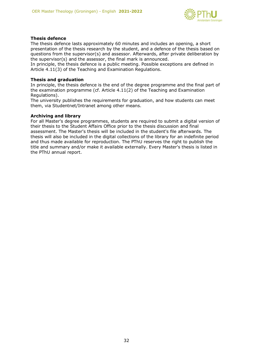

### **Thesis defence**

The thesis defence lasts approximately 60 minutes and includes an opening, a short presentation of the thesis research by the student, and a defence of the thesis based on questions from the supervisor(s) and assessor. Afterwards, after private deliberation by the supervisor(s) and the assessor, the final mark is announced.

In principle, the thesis defence is a public meeting. Possible exceptions are defined in Article 4.11(3) of the Teaching and Examination Regulations.

### **Thesis and graduation**

In principle, the thesis defence is the end of the degree programme and the final part of the examination programme (cf. Article 4.11(2) of the Teaching and Examination Regulations).

The university publishes the requirements for graduation, and how students can meet them, via Studentnet/Intranet among other means.

### **Archiving and library**

For all Master's degree programmes, students are required to submit a digital version of their thesis to the Student Affairs Office prior to the thesis discussion and final assessment. The Master's thesis will be included in the student's file afterwards. The thesis will also be included in the digital collections of the library for an indefinite period and thus made available for reproduction. The PThU reserves the right to publish the title and summary and/or make it available externally. Every Master's thesis is listed in the PThU annual report.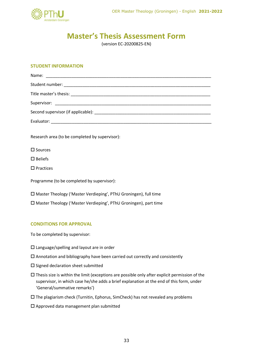

# **Master's Thesis Assessment Form**

(version EC-20200825-EN)

### **STUDENT INFORMATION**

| Research area (to be completed by supervisor):                     |
|--------------------------------------------------------------------|
| $\square$ Sources                                                  |
| $\Box$ Beliefs                                                     |
| $\Box$ Practices                                                   |
| Programme (to be completed by supervisor):                         |
| □ Master Theology ('Master Verdieping', PThU Groningen), full time |
| □ Master Theology ('Master Verdieping', PThU Groningen), part time |
|                                                                    |

### **CONDITIONS FOR APPROVAL**

To be completed by supervisor:

- Language/spelling and layout are in order
- Annotation and bibliography have been carried out correctly and consistently
- $\square$  Signed declaration sheet submitted
- $\square$  Thesis size is within the limit (exceptions are possible only after explicit permission of the supervisor, in which case he/she adds a brief explanation at the end of this form, under 'General/summative remarks')
- $\square$  The plagiarism check (Turnitin, Ephorus, SimCheck) has not revealed any problems
- Approved data management plan submitted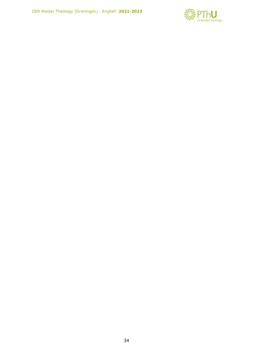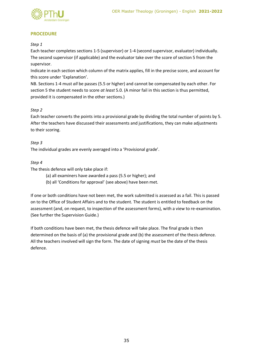

### **PROCEDURE**

### *Step 1*

Each teacher completes sections 1-5 (supervisor) or 1-4 (second supervisor, evaluator) individually. The second supervisor (if applicable) and the evaluator take over the score of section 5 from the supervisor.

Indicate in each section which column of the matrix applies, fill in the precise score, and account for this score under 'Explanation'.

NB. Sections 1-4 must *all* be passes (5.5 or higher) and cannot be compensated by each other. For section 5 the student needs to score *at least* 5.0. (A minor fail in this section is thus permitted, provided it is compensated in the other sections.)

### *Step 2*

Each teacher converts the points into a provisional grade by dividing the total number of points by 5. After the teachers have discussed their assessments and justifications, they can make adjustments to their scoring.

### *Step 3*

The individual grades are evenly averaged into a 'Provisional grade'.

### *Step 4*

The thesis defence will only take place if:

- (a) all examiners have awarded a pass (5.5 or higher); and
- (b) all 'Conditions for approval' (see above) have been met.

If one or both conditions have not been met, the work submitted is assessed as a fail. This is passed on to the Office of Student Affairs and to the student. The student is entitled to feedback on the assessment (and, on request, to inspection of the assessment forms), with a view to re-examination. (See further the Supervision Guide.)

If both conditions have been met, the thesis defence will take place. The final grade is then determined on the basis of (a) the provisional grade and (b) the assessment of the thesis defence. All the teachers involved will sign the form. The date of signing *must* be the date of the thesis defence.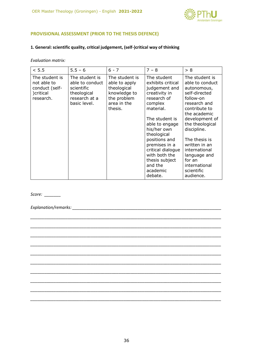

### **PROVISIONAL ASSESSMENT (PRIOR TO THE THESIS DEFENCE)**

### **1. General: scientific quality, critical judgement, (self-)critical way of thinking**

#### *Evaluation matrix:*

| < 5.5                                                                     | $5.5 - 6$                                                                                       | $6 - 7$                                                                                                 | $7 - 8$                                                                                                                                                                                                       | > 8                                                                                                                                                                                                                   |
|---------------------------------------------------------------------------|-------------------------------------------------------------------------------------------------|---------------------------------------------------------------------------------------------------------|---------------------------------------------------------------------------------------------------------------------------------------------------------------------------------------------------------------|-----------------------------------------------------------------------------------------------------------------------------------------------------------------------------------------------------------------------|
| The student is<br>not able to<br>conduct (self-<br>)critical<br>research. | The student is<br>able to conduct<br>scientific<br>theological<br>research at a<br>basic level. | The student is<br>able to apply<br>theological<br>knowledge to<br>the problem<br>area in the<br>thesis. | The student<br>exhibits critical<br>judgement and<br>creativity in<br>research of<br>complex<br>material.<br>The student is<br>able to engage<br>his/her own<br>theological<br>positions and<br>premises in a | The student is<br>able to conduct<br>autonomous,<br>self-directed<br>follow-on<br>research and<br>contribute to<br>the academic<br>development of<br>the theological<br>discipline.<br>The thesis is<br>written in an |
|                                                                           |                                                                                                 |                                                                                                         | critical dialogue<br>with both the<br>thesis subject<br>and the<br>academic<br>debate.                                                                                                                        | international<br>language and<br>for an<br>international<br>scientific<br>audience.                                                                                                                                   |

*\_\_\_\_\_\_\_\_\_\_\_\_\_\_\_\_\_\_\_\_\_\_\_\_\_\_\_\_\_\_\_\_\_\_\_\_\_\_\_\_\_\_\_\_\_\_\_\_\_\_\_\_\_\_\_\_\_\_\_\_\_\_\_\_\_\_\_\_\_\_\_\_\_\_\_\_\_\_\_\_\_\_*

*\_\_\_\_\_\_\_\_\_\_\_\_\_\_\_\_\_\_\_\_\_\_\_\_\_\_\_\_\_\_\_\_\_\_\_\_\_\_\_\_\_\_\_\_\_\_\_\_\_\_\_\_\_\_\_\_\_\_\_\_\_\_\_\_\_\_\_\_\_\_\_\_\_\_\_\_\_\_\_\_\_\_*

*\_\_\_\_\_\_\_\_\_\_\_\_\_\_\_\_\_\_\_\_\_\_\_\_\_\_\_\_\_\_\_\_\_\_\_\_\_\_\_\_\_\_\_\_\_\_\_\_\_\_\_\_\_\_\_\_\_\_\_\_\_\_\_\_\_\_\_\_\_\_\_\_\_\_\_\_\_\_\_\_\_\_*

*\_\_\_\_\_\_\_\_\_\_\_\_\_\_\_\_\_\_\_\_\_\_\_\_\_\_\_\_\_\_\_\_\_\_\_\_\_\_\_\_\_\_\_\_\_\_\_\_\_\_\_\_\_\_\_\_\_\_\_\_\_\_\_\_\_\_\_\_\_\_\_\_\_\_\_\_\_\_\_\_\_\_*

*\_\_\_\_\_\_\_\_\_\_\_\_\_\_\_\_\_\_\_\_\_\_\_\_\_\_\_\_\_\_\_\_\_\_\_\_\_\_\_\_\_\_\_\_\_\_\_\_\_\_\_\_\_\_\_\_\_\_\_\_\_\_\_\_\_\_\_\_\_\_\_\_\_\_\_\_\_\_\_\_\_\_*

*\_\_\_\_\_\_\_\_\_\_\_\_\_\_\_\_\_\_\_\_\_\_\_\_\_\_\_\_\_\_\_\_\_\_\_\_\_\_\_\_\_\_\_\_\_\_\_\_\_\_\_\_\_\_\_\_\_\_\_\_\_\_\_\_\_\_\_\_\_\_\_\_\_\_\_\_\_\_\_\_\_\_*

*\_\_\_\_\_\_\_\_\_\_\_\_\_\_\_\_\_\_\_\_\_\_\_\_\_\_\_\_\_\_\_\_\_\_\_\_\_\_\_\_\_\_\_\_\_\_\_\_\_\_\_\_\_\_\_\_\_\_\_\_\_\_\_\_\_\_\_\_\_\_\_\_\_\_\_\_\_\_\_\_\_\_*

*\_\_\_\_\_\_\_\_\_\_\_\_\_\_\_\_\_\_\_\_\_\_\_\_\_\_\_\_\_\_\_\_\_\_\_\_\_\_\_\_\_\_\_\_\_\_\_\_\_\_\_\_\_\_\_\_\_\_\_\_\_\_\_\_\_\_\_\_\_\_\_\_\_\_\_\_\_\_\_\_\_\_*

*\_\_\_\_\_\_\_\_\_\_\_\_\_\_\_\_\_\_\_\_\_\_\_\_\_\_\_\_\_\_\_\_\_\_\_\_\_\_\_\_\_\_\_\_\_\_\_\_\_\_\_\_\_\_\_\_\_\_\_\_\_\_\_\_\_\_\_\_\_\_\_\_\_\_\_\_\_\_\_\_\_\_*

*\_\_\_\_\_\_\_\_\_\_\_\_\_\_\_\_\_\_\_\_\_\_\_\_\_\_\_\_\_\_\_\_\_\_\_\_\_\_\_\_\_\_\_\_\_\_\_\_\_\_\_\_\_\_\_\_\_\_\_\_\_\_\_\_\_\_\_\_\_\_\_\_\_\_\_\_\_\_\_\_\_\_*

*Score:* \_\_\_\_\_\_\_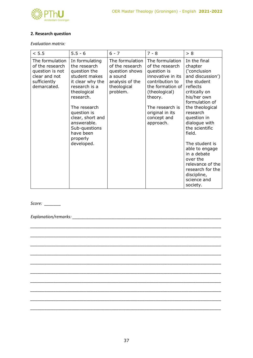

### **2. Research question**

*Evaluation matrix:*

| < 5.5                                                                                                 | $5.5 - 6$                                                                                                                                                                                                                                                  | $6 - 7$                                                                                                       | $7 - 8$                                                                                                                                                                                                     | > 8                                                                                                                                                                                                                                                                                                                                                                                  |
|-------------------------------------------------------------------------------------------------------|------------------------------------------------------------------------------------------------------------------------------------------------------------------------------------------------------------------------------------------------------------|---------------------------------------------------------------------------------------------------------------|-------------------------------------------------------------------------------------------------------------------------------------------------------------------------------------------------------------|--------------------------------------------------------------------------------------------------------------------------------------------------------------------------------------------------------------------------------------------------------------------------------------------------------------------------------------------------------------------------------------|
| The formulation<br>of the research<br>question is not<br>clear and not<br>sufficiently<br>demarcated. | In formulating<br>the research<br>question the<br>student makes<br>it clear why the<br>research is a<br>theological<br>research.<br>The research<br>question is<br>clear, short and<br>answerable.<br>Sub-questions<br>have been<br>properly<br>developed. | The formulation<br>of the research<br>question shows<br>a sound<br>analysis of the<br>theological<br>problem. | The formulation<br>of the research<br>question is<br>innovative in its<br>contribution to<br>the formation of<br>(theological)<br>theory.<br>The research is<br>original in its<br>concept and<br>approach. | In the final<br>chapter<br>('conclusion<br>and discussion')<br>the student<br>reflects<br>critically on<br>his/her own<br>formulation of<br>the theological<br>research<br>question in<br>dialogue with<br>the scientific<br>field.<br>The student is<br>able to engage<br>in a debate<br>over the<br>relevance of the<br>research for the<br>discipline,<br>science and<br>society. |

*\_\_\_\_\_\_\_\_\_\_\_\_\_\_\_\_\_\_\_\_\_\_\_\_\_\_\_\_\_\_\_\_\_\_\_\_\_\_\_\_\_\_\_\_\_\_\_\_\_\_\_\_\_\_\_\_\_\_\_\_\_\_\_\_\_\_\_\_\_\_\_\_\_\_\_\_\_\_\_\_\_\_*

*\_\_\_\_\_\_\_\_\_\_\_\_\_\_\_\_\_\_\_\_\_\_\_\_\_\_\_\_\_\_\_\_\_\_\_\_\_\_\_\_\_\_\_\_\_\_\_\_\_\_\_\_\_\_\_\_\_\_\_\_\_\_\_\_\_\_\_\_\_\_\_\_\_\_\_\_\_\_\_\_\_\_*

*\_\_\_\_\_\_\_\_\_\_\_\_\_\_\_\_\_\_\_\_\_\_\_\_\_\_\_\_\_\_\_\_\_\_\_\_\_\_\_\_\_\_\_\_\_\_\_\_\_\_\_\_\_\_\_\_\_\_\_\_\_\_\_\_\_\_\_\_\_\_\_\_\_\_\_\_\_\_\_\_\_\_*

*\_\_\_\_\_\_\_\_\_\_\_\_\_\_\_\_\_\_\_\_\_\_\_\_\_\_\_\_\_\_\_\_\_\_\_\_\_\_\_\_\_\_\_\_\_\_\_\_\_\_\_\_\_\_\_\_\_\_\_\_\_\_\_\_\_\_\_\_\_\_\_\_\_\_\_\_\_\_\_\_\_\_*

*\_\_\_\_\_\_\_\_\_\_\_\_\_\_\_\_\_\_\_\_\_\_\_\_\_\_\_\_\_\_\_\_\_\_\_\_\_\_\_\_\_\_\_\_\_\_\_\_\_\_\_\_\_\_\_\_\_\_\_\_\_\_\_\_\_\_\_\_\_\_\_\_\_\_\_\_\_\_\_\_\_\_*

*\_\_\_\_\_\_\_\_\_\_\_\_\_\_\_\_\_\_\_\_\_\_\_\_\_\_\_\_\_\_\_\_\_\_\_\_\_\_\_\_\_\_\_\_\_\_\_\_\_\_\_\_\_\_\_\_\_\_\_\_\_\_\_\_\_\_\_\_\_\_\_\_\_\_\_\_\_\_\_\_\_\_*

*\_\_\_\_\_\_\_\_\_\_\_\_\_\_\_\_\_\_\_\_\_\_\_\_\_\_\_\_\_\_\_\_\_\_\_\_\_\_\_\_\_\_\_\_\_\_\_\_\_\_\_\_\_\_\_\_\_\_\_\_\_\_\_\_\_\_\_\_\_\_\_\_\_\_\_\_\_\_\_\_\_\_*

*\_\_\_\_\_\_\_\_\_\_\_\_\_\_\_\_\_\_\_\_\_\_\_\_\_\_\_\_\_\_\_\_\_\_\_\_\_\_\_\_\_\_\_\_\_\_\_\_\_\_\_\_\_\_\_\_\_\_\_\_\_\_\_\_\_\_\_\_\_\_\_\_\_\_\_\_\_\_\_\_\_\_*

*\_\_\_\_\_\_\_\_\_\_\_\_\_\_\_\_\_\_\_\_\_\_\_\_\_\_\_\_\_\_\_\_\_\_\_\_\_\_\_\_\_\_\_\_\_\_\_\_\_\_\_\_\_\_\_\_\_\_\_\_\_\_\_\_\_\_\_\_\_\_\_\_\_\_\_\_\_\_\_\_\_\_*

*\_\_\_\_\_\_\_\_\_\_\_\_\_\_\_\_\_\_\_\_\_\_\_\_\_\_\_\_\_\_\_\_\_\_\_\_\_\_\_\_\_\_\_\_\_\_\_\_\_\_\_\_\_\_\_\_\_\_\_\_\_\_\_\_\_\_\_\_\_\_\_\_\_\_\_\_\_\_\_\_\_\_*

*Score:* \_\_\_\_\_\_\_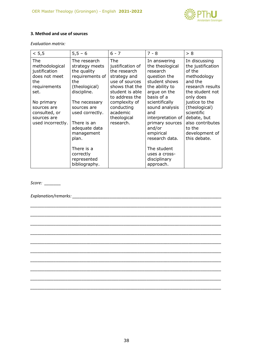

#### **3. Method and use of sources**

*Evaluation matrix:*

| < 5, 5                                                                                                                                                                   | $5,5 - 6$                                                                                                                                                                                                                                                                    | $6 - 7$                                                                                                                                                                                                 | $7 - 8$                                                                                                                                                                                                                                                                                                               | > 8                                                                                                                                                                                                                                                        |
|--------------------------------------------------------------------------------------------------------------------------------------------------------------------------|------------------------------------------------------------------------------------------------------------------------------------------------------------------------------------------------------------------------------------------------------------------------------|---------------------------------------------------------------------------------------------------------------------------------------------------------------------------------------------------------|-----------------------------------------------------------------------------------------------------------------------------------------------------------------------------------------------------------------------------------------------------------------------------------------------------------------------|------------------------------------------------------------------------------------------------------------------------------------------------------------------------------------------------------------------------------------------------------------|
| The<br>methodological<br>justification<br>does not meet<br>the<br>requirements<br>set.<br>No primary<br>sources are<br>consulted, or<br>sources are<br>used incorrectly. | The research<br>strategy meets<br>the quality<br>requirements of<br>the<br>(theological)<br>discipline.<br>The necessary<br>sources are<br>used correctly.<br>There is an<br>adequate data<br>management<br>plan.<br>There is a<br>correctly<br>represented<br>bibliography. | The<br>justification of<br>the research<br>strategy and<br>use of sources<br>shows that the<br>student is able<br>to address the<br>complexity of<br>conducting<br>academic<br>theological<br>research. | In answering<br>the theological<br>research<br>question the<br>student shows<br>the ability to<br>argue on the<br>basis of a<br>scientifically<br>sound analysis<br>and<br>interpretation of<br>primary sources<br>and/or<br>empirical<br>research data.<br>The student<br>uses a cross-<br>disciplinary<br>approach. | In discussing<br>the justification<br>of the<br>methodology<br>and the<br>research results<br>the student not<br>only does<br>justice to the<br>(theological)<br>scientific<br>debate, but<br>also contributes<br>to the<br>development of<br>this debate. |

*\_\_\_\_\_\_\_\_\_\_\_\_\_\_\_\_\_\_\_\_\_\_\_\_\_\_\_\_\_\_\_\_\_\_\_\_\_\_\_\_\_\_\_\_\_\_\_\_\_\_\_\_\_\_\_\_\_\_\_\_\_\_\_\_\_\_\_\_\_\_\_\_\_\_\_\_\_\_\_\_\_\_*

*\_\_\_\_\_\_\_\_\_\_\_\_\_\_\_\_\_\_\_\_\_\_\_\_\_\_\_\_\_\_\_\_\_\_\_\_\_\_\_\_\_\_\_\_\_\_\_\_\_\_\_\_\_\_\_\_\_\_\_\_\_\_\_\_\_\_\_\_\_\_\_\_\_\_\_\_\_\_\_\_\_\_*

*\_\_\_\_\_\_\_\_\_\_\_\_\_\_\_\_\_\_\_\_\_\_\_\_\_\_\_\_\_\_\_\_\_\_\_\_\_\_\_\_\_\_\_\_\_\_\_\_\_\_\_\_\_\_\_\_\_\_\_\_\_\_\_\_\_\_\_\_\_\_\_\_\_\_\_\_\_\_\_\_\_\_*

*\_\_\_\_\_\_\_\_\_\_\_\_\_\_\_\_\_\_\_\_\_\_\_\_\_\_\_\_\_\_\_\_\_\_\_\_\_\_\_\_\_\_\_\_\_\_\_\_\_\_\_\_\_\_\_\_\_\_\_\_\_\_\_\_\_\_\_\_\_\_\_\_\_\_\_\_\_\_\_\_\_\_*

*\_\_\_\_\_\_\_\_\_\_\_\_\_\_\_\_\_\_\_\_\_\_\_\_\_\_\_\_\_\_\_\_\_\_\_\_\_\_\_\_\_\_\_\_\_\_\_\_\_\_\_\_\_\_\_\_\_\_\_\_\_\_\_\_\_\_\_\_\_\_\_\_\_\_\_\_\_\_\_\_\_\_*

*\_\_\_\_\_\_\_\_\_\_\_\_\_\_\_\_\_\_\_\_\_\_\_\_\_\_\_\_\_\_\_\_\_\_\_\_\_\_\_\_\_\_\_\_\_\_\_\_\_\_\_\_\_\_\_\_\_\_\_\_\_\_\_\_\_\_\_\_\_\_\_\_\_\_\_\_\_\_\_\_\_\_*

*\_\_\_\_\_\_\_\_\_\_\_\_\_\_\_\_\_\_\_\_\_\_\_\_\_\_\_\_\_\_\_\_\_\_\_\_\_\_\_\_\_\_\_\_\_\_\_\_\_\_\_\_\_\_\_\_\_\_\_\_\_\_\_\_\_\_\_\_\_\_\_\_\_\_\_\_\_\_\_\_\_\_*

*\_\_\_\_\_\_\_\_\_\_\_\_\_\_\_\_\_\_\_\_\_\_\_\_\_\_\_\_\_\_\_\_\_\_\_\_\_\_\_\_\_\_\_\_\_\_\_\_\_\_\_\_\_\_\_\_\_\_\_\_\_\_\_\_\_\_\_\_\_\_\_\_\_\_\_\_\_\_\_\_\_\_*

*\_\_\_\_\_\_\_\_\_\_\_\_\_\_\_\_\_\_\_\_\_\_\_\_\_\_\_\_\_\_\_\_\_\_\_\_\_\_\_\_\_\_\_\_\_\_\_\_\_\_\_\_\_\_\_\_\_\_\_\_\_\_\_\_\_\_\_\_\_\_\_\_\_\_\_\_\_\_\_\_\_\_*

*\_\_\_\_\_\_\_\_\_\_\_\_\_\_\_\_\_\_\_\_\_\_\_\_\_\_\_\_\_\_\_\_\_\_\_\_\_\_\_\_\_\_\_\_\_\_\_\_\_\_\_\_\_\_\_\_\_\_\_\_\_\_\_\_\_\_\_\_\_\_\_\_\_\_\_\_\_\_\_\_\_\_*

*Score:* \_\_\_\_\_\_\_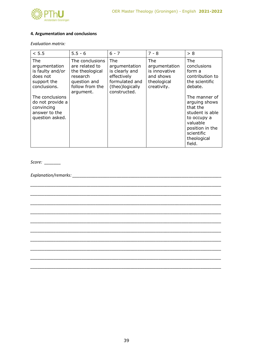

### **4. Argumentation and conclusions**

*Evaluation matrix:*

| < 5.5                                                                                                                                                                        | $5.5 - 6$                                                                                                        | $6 - 7$                                                                                                    | $7 - 8$                                                                          | > 8                                                                                                                                                                                                                                |
|------------------------------------------------------------------------------------------------------------------------------------------------------------------------------|------------------------------------------------------------------------------------------------------------------|------------------------------------------------------------------------------------------------------------|----------------------------------------------------------------------------------|------------------------------------------------------------------------------------------------------------------------------------------------------------------------------------------------------------------------------------|
| The<br>argumentation<br>is faulty and/or<br>does not<br>support the<br>conclusions.<br>The conclusions<br>do not provide a<br>convincing<br>answer to the<br>question asked. | The conclusions<br>are related to<br>the theological<br>research<br>question and<br>follow from the<br>argument. | The<br>argumentation<br>is clearly and<br>effectively<br>formulated and<br>(theo)logically<br>constructed. | The<br>argumentation<br>is innovative<br>and shows<br>theological<br>creativity. | The<br>conclusions<br>form a<br>contribution to<br>the scientific<br>debate.<br>The manner of<br>arguing shows<br>that the<br>student is able<br>to occupy a<br>valuable<br>position in the<br>scientific<br>theological<br>field. |

*\_\_\_\_\_\_\_\_\_\_\_\_\_\_\_\_\_\_\_\_\_\_\_\_\_\_\_\_\_\_\_\_\_\_\_\_\_\_\_\_\_\_\_\_\_\_\_\_\_\_\_\_\_\_\_\_\_\_\_\_\_\_\_\_\_\_\_\_\_\_\_\_\_\_\_\_\_\_\_\_\_\_*

*\_\_\_\_\_\_\_\_\_\_\_\_\_\_\_\_\_\_\_\_\_\_\_\_\_\_\_\_\_\_\_\_\_\_\_\_\_\_\_\_\_\_\_\_\_\_\_\_\_\_\_\_\_\_\_\_\_\_\_\_\_\_\_\_\_\_\_\_\_\_\_\_\_\_\_\_\_\_\_\_\_\_*

*\_\_\_\_\_\_\_\_\_\_\_\_\_\_\_\_\_\_\_\_\_\_\_\_\_\_\_\_\_\_\_\_\_\_\_\_\_\_\_\_\_\_\_\_\_\_\_\_\_\_\_\_\_\_\_\_\_\_\_\_\_\_\_\_\_\_\_\_\_\_\_\_\_\_\_\_\_\_\_\_\_\_*

*\_\_\_\_\_\_\_\_\_\_\_\_\_\_\_\_\_\_\_\_\_\_\_\_\_\_\_\_\_\_\_\_\_\_\_\_\_\_\_\_\_\_\_\_\_\_\_\_\_\_\_\_\_\_\_\_\_\_\_\_\_\_\_\_\_\_\_\_\_\_\_\_\_\_\_\_\_\_\_\_\_\_*

*\_\_\_\_\_\_\_\_\_\_\_\_\_\_\_\_\_\_\_\_\_\_\_\_\_\_\_\_\_\_\_\_\_\_\_\_\_\_\_\_\_\_\_\_\_\_\_\_\_\_\_\_\_\_\_\_\_\_\_\_\_\_\_\_\_\_\_\_\_\_\_\_\_\_\_\_\_\_\_\_\_\_*

*\_\_\_\_\_\_\_\_\_\_\_\_\_\_\_\_\_\_\_\_\_\_\_\_\_\_\_\_\_\_\_\_\_\_\_\_\_\_\_\_\_\_\_\_\_\_\_\_\_\_\_\_\_\_\_\_\_\_\_\_\_\_\_\_\_\_\_\_\_\_\_\_\_\_\_\_\_\_\_\_\_\_*

*\_\_\_\_\_\_\_\_\_\_\_\_\_\_\_\_\_\_\_\_\_\_\_\_\_\_\_\_\_\_\_\_\_\_\_\_\_\_\_\_\_\_\_\_\_\_\_\_\_\_\_\_\_\_\_\_\_\_\_\_\_\_\_\_\_\_\_\_\_\_\_\_\_\_\_\_\_\_\_\_\_\_*

*\_\_\_\_\_\_\_\_\_\_\_\_\_\_\_\_\_\_\_\_\_\_\_\_\_\_\_\_\_\_\_\_\_\_\_\_\_\_\_\_\_\_\_\_\_\_\_\_\_\_\_\_\_\_\_\_\_\_\_\_\_\_\_\_\_\_\_\_\_\_\_\_\_\_\_\_\_\_\_\_\_\_*

*\_\_\_\_\_\_\_\_\_\_\_\_\_\_\_\_\_\_\_\_\_\_\_\_\_\_\_\_\_\_\_\_\_\_\_\_\_\_\_\_\_\_\_\_\_\_\_\_\_\_\_\_\_\_\_\_\_\_\_\_\_\_\_\_\_\_\_\_\_\_\_\_\_\_\_\_\_\_\_\_\_\_*

*\_\_\_\_\_\_\_\_\_\_\_\_\_\_\_\_\_\_\_\_\_\_\_\_\_\_\_\_\_\_\_\_\_\_\_\_\_\_\_\_\_\_\_\_\_\_\_\_\_\_\_\_\_\_\_\_\_\_\_\_\_\_\_\_\_\_\_\_\_\_\_\_\_\_\_\_\_\_\_\_\_\_*

*Score:* \_\_\_\_\_\_\_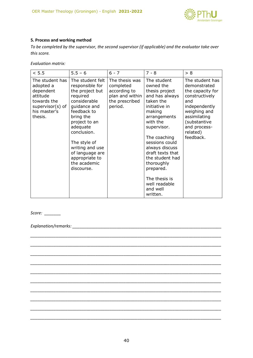

### **5. Process and working method**

*To be completed by the supervisor, the second supervisor (if applicable) and the evaluator take over this score.*

*Evaluation matrix:*

| < 5.5                                                                                                               | $5.5 - 6$                                                                                                                                                                                                                                                                        | $6 - 7$                                                                                     | $7 - 8$                                                                                                                                                                                                                                                                                                                         | > 8                                                                                                                                                                                    |
|---------------------------------------------------------------------------------------------------------------------|----------------------------------------------------------------------------------------------------------------------------------------------------------------------------------------------------------------------------------------------------------------------------------|---------------------------------------------------------------------------------------------|---------------------------------------------------------------------------------------------------------------------------------------------------------------------------------------------------------------------------------------------------------------------------------------------------------------------------------|----------------------------------------------------------------------------------------------------------------------------------------------------------------------------------------|
| The student has<br>adopted a<br>dependent<br>attitude<br>towards the<br>supervisor(s) of<br>his master's<br>thesis. | The student felt<br>responsible for<br>the project but<br>required<br>considerable<br>guidance and<br>feedback to<br>bring the<br>project to an<br>adequate<br>conclusion.<br>The style of<br>writing and use<br>of language are<br>appropriate to<br>the academic<br>discourse. | The thesis was<br>completed<br>according to<br>plan and within<br>the prescribed<br>period. | The student<br>owned the<br>thesis project<br>and has always<br>taken the<br>initiative in<br>making<br>arrangements<br>with the<br>supervisor.<br>The coaching<br>sessions could<br>always discuss<br>draft texts that<br>the student had<br>thoroughly<br>prepared.<br>The thesis is<br>well readable<br>and well<br>written. | The student has<br>demonstrated<br>the capacity for<br>constructively<br>and<br>independently<br>weighing and<br>assimilating<br>(substantive<br>and process-<br>related)<br>feedback. |

*\_\_\_\_\_\_\_\_\_\_\_\_\_\_\_\_\_\_\_\_\_\_\_\_\_\_\_\_\_\_\_\_\_\_\_\_\_\_\_\_\_\_\_\_\_\_\_\_\_\_\_\_\_\_\_\_\_\_\_\_\_\_\_\_\_\_\_\_\_\_\_\_\_\_\_\_\_\_\_\_\_\_*

*\_\_\_\_\_\_\_\_\_\_\_\_\_\_\_\_\_\_\_\_\_\_\_\_\_\_\_\_\_\_\_\_\_\_\_\_\_\_\_\_\_\_\_\_\_\_\_\_\_\_\_\_\_\_\_\_\_\_\_\_\_\_\_\_\_\_\_\_\_\_\_\_\_\_\_\_\_\_\_\_\_\_*

*\_\_\_\_\_\_\_\_\_\_\_\_\_\_\_\_\_\_\_\_\_\_\_\_\_\_\_\_\_\_\_\_\_\_\_\_\_\_\_\_\_\_\_\_\_\_\_\_\_\_\_\_\_\_\_\_\_\_\_\_\_\_\_\_\_\_\_\_\_\_\_\_\_\_\_\_\_\_\_\_\_\_*

*\_\_\_\_\_\_\_\_\_\_\_\_\_\_\_\_\_\_\_\_\_\_\_\_\_\_\_\_\_\_\_\_\_\_\_\_\_\_\_\_\_\_\_\_\_\_\_\_\_\_\_\_\_\_\_\_\_\_\_\_\_\_\_\_\_\_\_\_\_\_\_\_\_\_\_\_\_\_\_\_\_\_*

*\_\_\_\_\_\_\_\_\_\_\_\_\_\_\_\_\_\_\_\_\_\_\_\_\_\_\_\_\_\_\_\_\_\_\_\_\_\_\_\_\_\_\_\_\_\_\_\_\_\_\_\_\_\_\_\_\_\_\_\_\_\_\_\_\_\_\_\_\_\_\_\_\_\_\_\_\_\_\_\_\_\_*

*\_\_\_\_\_\_\_\_\_\_\_\_\_\_\_\_\_\_\_\_\_\_\_\_\_\_\_\_\_\_\_\_\_\_\_\_\_\_\_\_\_\_\_\_\_\_\_\_\_\_\_\_\_\_\_\_\_\_\_\_\_\_\_\_\_\_\_\_\_\_\_\_\_\_\_\_\_\_\_\_\_\_*

*\_\_\_\_\_\_\_\_\_\_\_\_\_\_\_\_\_\_\_\_\_\_\_\_\_\_\_\_\_\_\_\_\_\_\_\_\_\_\_\_\_\_\_\_\_\_\_\_\_\_\_\_\_\_\_\_\_\_\_\_\_\_\_\_\_\_\_\_\_\_\_\_\_\_\_\_\_\_\_\_\_\_*

*\_\_\_\_\_\_\_\_\_\_\_\_\_\_\_\_\_\_\_\_\_\_\_\_\_\_\_\_\_\_\_\_\_\_\_\_\_\_\_\_\_\_\_\_\_\_\_\_\_\_\_\_\_\_\_\_\_\_\_\_\_\_\_\_\_\_\_\_\_\_\_\_\_\_\_\_\_\_\_\_\_\_*

*\_\_\_\_\_\_\_\_\_\_\_\_\_\_\_\_\_\_\_\_\_\_\_\_\_\_\_\_\_\_\_\_\_\_\_\_\_\_\_\_\_\_\_\_\_\_\_\_\_\_\_\_\_\_\_\_\_\_\_\_\_\_\_\_\_\_\_\_\_\_\_\_\_\_\_\_\_\_\_\_\_\_*

*\_\_\_\_\_\_\_\_\_\_\_\_\_\_\_\_\_\_\_\_\_\_\_\_\_\_\_\_\_\_\_\_\_\_\_\_\_\_\_\_\_\_\_\_\_\_\_\_\_\_\_\_\_\_\_\_\_\_\_\_\_\_\_\_\_\_\_\_\_\_\_\_\_\_\_\_\_\_\_\_\_\_*

*Score:* \_\_\_\_\_\_\_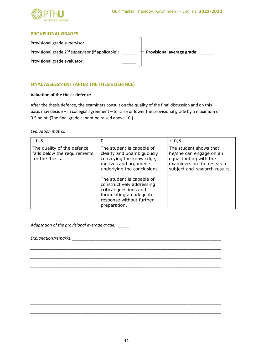

### **PROVISIONAL GRADES**

| Provisional grade supervisor:                                 |                            |
|---------------------------------------------------------------|----------------------------|
| Provisional grade 2 <sup>nd</sup> supervisor (if applicable): | Provisional average grade: |
| Provisional grade evaluator:                                  |                            |

### **FINAL ASSESSMENT (AFTER THE THESIS DEFENCE)**

### **Valuation of the thesis defence**

After the thesis defence, the examiners consult on the quality of the final discussion and on this basis may decide – in collegial agreement – to raise or lower the provisional grade by a maximum of 0.5 point. (The final grade cannot be raised above 10.)

*Evaluation matrix:*

| $-0.5$                                                                        | 0                                                                                                                                                                                                                                                                                                     | $+0,5$                                                                                                                                    |
|-------------------------------------------------------------------------------|-------------------------------------------------------------------------------------------------------------------------------------------------------------------------------------------------------------------------------------------------------------------------------------------------------|-------------------------------------------------------------------------------------------------------------------------------------------|
| The quality of the defence<br>falls below the requirements<br>for the thesis. | The student is capable of<br>clearly and unambiguously<br>conveying the knowledge,<br>motives and arguments<br>underlying the conclusions.<br>The student is capable of<br>constructively addressing<br>critical questions and<br>formulating an adequate<br>response without further<br>preparation. | The student shows that<br>he/she can engage on an<br>equal footing with the<br>examiners on the research<br>subject and research results. |

*Adaptation of the provisional average grade:* \_\_\_\_\_

*Explanation/remarks: \_\_\_\_\_\_\_\_\_\_\_\_\_\_\_\_\_\_\_\_\_\_\_\_\_\_\_\_\_\_\_\_\_\_\_\_\_\_\_\_\_\_\_\_\_\_\_\_\_\_\_\_\_\_\_\_\_\_\_\_\_\_\_\_*

*\_\_\_\_\_\_\_\_\_\_\_\_\_\_\_\_\_\_\_\_\_\_\_\_\_\_\_\_\_\_\_\_\_\_\_\_\_\_\_\_\_\_\_\_\_\_\_\_\_\_\_\_\_\_\_\_\_\_\_\_\_\_\_\_\_\_\_\_\_\_\_\_\_\_\_\_\_\_\_\_\_\_*

*\_\_\_\_\_\_\_\_\_\_\_\_\_\_\_\_\_\_\_\_\_\_\_\_\_\_\_\_\_\_\_\_\_\_\_\_\_\_\_\_\_\_\_\_\_\_\_\_\_\_\_\_\_\_\_\_\_\_\_\_\_\_\_\_\_\_\_\_\_\_\_\_\_\_\_\_\_\_\_\_\_\_*

*\_\_\_\_\_\_\_\_\_\_\_\_\_\_\_\_\_\_\_\_\_\_\_\_\_\_\_\_\_\_\_\_\_\_\_\_\_\_\_\_\_\_\_\_\_\_\_\_\_\_\_\_\_\_\_\_\_\_\_\_\_\_\_\_\_\_\_\_\_\_\_\_\_\_\_\_\_\_\_\_\_\_*

*\_\_\_\_\_\_\_\_\_\_\_\_\_\_\_\_\_\_\_\_\_\_\_\_\_\_\_\_\_\_\_\_\_\_\_\_\_\_\_\_\_\_\_\_\_\_\_\_\_\_\_\_\_\_\_\_\_\_\_\_\_\_\_\_\_\_\_\_\_\_\_\_\_\_\_\_\_\_\_\_\_\_*

*\_\_\_\_\_\_\_\_\_\_\_\_\_\_\_\_\_\_\_\_\_\_\_\_\_\_\_\_\_\_\_\_\_\_\_\_\_\_\_\_\_\_\_\_\_\_\_\_\_\_\_\_\_\_\_\_\_\_\_\_\_\_\_\_\_\_\_\_\_\_\_\_\_\_\_\_\_\_\_\_\_\_*

*\_\_\_\_\_\_\_\_\_\_\_\_\_\_\_\_\_\_\_\_\_\_\_\_\_\_\_\_\_\_\_\_\_\_\_\_\_\_\_\_\_\_\_\_\_\_\_\_\_\_\_\_\_\_\_\_\_\_\_\_\_\_\_\_\_\_\_\_\_\_\_\_\_\_\_\_\_\_\_\_\_\_*

*\_\_\_\_\_\_\_\_\_\_\_\_\_\_\_\_\_\_\_\_\_\_\_\_\_\_\_\_\_\_\_\_\_\_\_\_\_\_\_\_\_\_\_\_\_\_\_\_\_\_\_\_\_\_\_\_\_\_\_\_\_\_\_\_\_\_\_\_\_\_\_\_\_\_\_\_\_\_\_\_\_\_*

*\_\_\_\_\_\_\_\_\_\_\_\_\_\_\_\_\_\_\_\_\_\_\_\_\_\_\_\_\_\_\_\_\_\_\_\_\_\_\_\_\_\_\_\_\_\_\_\_\_\_\_\_\_\_\_\_\_\_\_\_\_\_\_\_\_\_\_\_\_\_\_\_\_\_\_\_\_\_\_\_\_\_*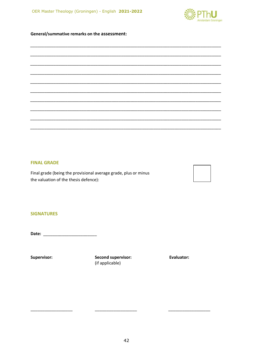

#### General/summative remarks on the assessment:

| _________________________________ |  |  |
|-----------------------------------|--|--|

#### **FINAL GRADE**

Final grade (being the provisional average grade, plus or minus the valuation of the thesis defence):



#### **SIGNATURES**

 $\overline{\phantom{0}}$ 

**Supervisor:** 

**Second supervisor:** (if applicable)

**Evaluator:**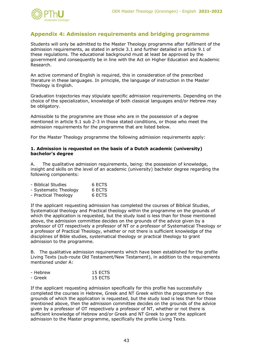

### <span id="page-42-0"></span>**Appendix 4: Admission requirements and bridging programme**

Students will only be admitted to the Master Theology programme after fulfilment of the admission requirements, as stated in article 3.1 and further detailed in article 9.1 of these regulations. The educational background must at least be approved by the government and consequently be in line with the Act on Higher Education and Academic Research.

An active command of English is required, this in consideration of the prescribed literature in these languages. In principle, the language of instruction in the Master Theology is English.

Graduation trajectories may stipulate specific admission requirements. Depending on the choice of the specialization, knowledge of both classical languages and/or Hebrew may be obligatory.

Admissible to the programme are those who are in the possession of a degree mentioned in article 9.1 sub 2-3 in those stated conditions, or those who meet the admission requirements for the programme that are listed below.

For the Master Theology programme the following admission requirements apply:

### **1. Admission is requested on the basis of a Dutch academic (university) bachelor's degree**

A. The qualitative admission requirements, being: the possession of knowledge, insight and skills on the level of an academic (university) bachelor degree regarding the following components:

| - Biblical Studies    | 6 ECTS |
|-----------------------|--------|
| - Systematic Theology | 6 ECTS |
| - Practical Theology  | 6 ECTS |

If the applicant requesting admission has completed the courses of Biblical Studies, Systematical theology and Practical theology within the programme on the grounds of which the application is requested, but the study load is less than for those mentioned above, the admission committee decides on the grounds of the advice given by a professor of OT respectively a professor of NT or a professor of Systematical Theology or a professor of Practical Theology, whether or not there is sufficient knowledge of the disciplines of Bible studies, systematical theology or practical theology to grant admission to the programme.

B. The qualitative admission requirements which have been established for the profile Living Texts (sub-route Old Testament/New Testament), in addition to the requirements mentioned under A:

| - Hebrew | 15 ECTS |
|----------|---------|
| - Greek  | 15 ECTS |

If the applicant requesting admission specifically for this profile has successfully completed the courses in Hebrew, Greek and NT Greek within the programme on the grounds of which the application is requested, but the study load is less than for those mentioned above, then the admission committee decides on the grounds of the advice given by a professor of OT respectively a professor of NT, whether or not there is sufficient knowledge of Hebrew and/or Greek and NT Greek to grant the applicant admission to the Master programme, specifically the profile Living Texts*.*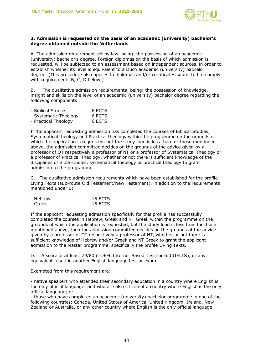

### **2. Admission is requested on the basis of an academic (university) bachelor's degree obtained outside the Netherlands**

A. The admission requirement set by law, being: the possession of an academic (university) bachelor's degree. Foreign diplomas on the basis of which admission is requested, will be subjected to an assessment based on independent sources, in order to establish whether its level is equivalent to a Duch academic (university) bachelor degree. (This procedure also applies to diplomas and/or certificates submitted to comply with requirements B, C, D below.)

B. The qualitative admission requirements, being: the possession of knowledge, insight and skills on the level of an academic (university) bachelor degree regarding the following components:

| - Biblical Studies    | 6 ECTS |
|-----------------------|--------|
| - Systematic Theology | 6 ECTS |
| - Practical Theology  | 6 ECTS |

If the applicant requesting admission has completed the courses of Biblical Studies, Systematical theology and Practical theology within the programme on the grounds of which the application is requested, but the study load is less than for those mentioned above, the admission committee decides on the grounds of the advice given by a professor of OT respectively a professor of NT or a professor of Systematical Theology or a professor of Practical Theology, whether or not there is sufficient knowledge of the disciplines of Bible studies, systematical theology or practical theology to grant admission to the programme.

C. The qualitative admission requirements which have been established for the profile Living Texts (sub-route Old Testament/New Testament), in addition to the requirements mentioned under B:

| - Hebrew | 15 ECTS |
|----------|---------|
| - Greek  | 15 ECTS |

If the applicant requesting admission specifically for this profile has successfully completed the courses in Hebrew, Greek and NT Greek within the programme on the grounds of which the application is requested, but the study load is less than for those mentioned above, then the admission committee decides on the grounds of the advice given by a professor of OT respectively a professor of NT, whether or not there is sufficient knowledge of Hebrew and/or Greek and NT Greek to grant the applicant admission to the Master programme, specifically the profile Living Texts*.* 

D. A score of at least 79/80 (TOEFL Internet Based Test) or 6.0 (IELTS), or any equivalent result in another English language test or exam.

Exempted from this requirement are:

- native speakers who attended their secondary education in a country where English is the only official language, and who are also citizen of a country where English is the only official language; or

- those who have completed an academic (university) bachelor programme in one of the following countries: Canada, United States of America, United Kingdom, Ireland, New Zealand or Australia, or any other country where English is the only official language.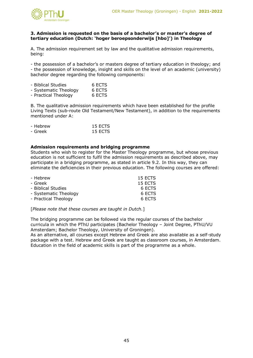

#### **3. Admission is requested on the basis of a bachelor's or master's degree of tertiary education (Dutch: 'hoger beroepsonderwijs [hbo]') in Theology**

A. The admission requirement set by law and the qualitative admission requirements, being:

- the possession of a bachelor's or masters degree of tertiary education in theology; and - the possession of knowledge, insight and skills on the level of an academic (university) bachelor degree regarding the following components:

| - Biblical Studies    | 6 ECTS |
|-----------------------|--------|
| - Systematic Theology | 6 ECTS |
| - Practical Theology  | 6 ECTS |

B. The qualitative admission requirements which have been established for the profile Living Texts (sub-route Old Testament/New Testament), in addition to the requirements mentioned under A:

| - Hebrew | 15 ECTS |
|----------|---------|
| - Greek  | 15 ECTS |

### **Admission requirements and bridging programme**

Students who wish to register for the Master Theology programme, but whose previous education is not sufficient to fulfil the admission requirements as described above, may participate in a bridging programme, as stated in article 9.2. In this way, they can eliminate the deficiencies in their previous education. The following courses are offered:

| - Hebrew              | 15 ECTS |
|-----------------------|---------|
| - Greek               | 15 ECTS |
| - Biblical Studies    | 6 ECTS  |
| - Systematic Theology | 6 ECTS  |
| - Practical Theology  | 6 ECTS  |

[*Please note that these courses are taught in Dutch.*]

The bridging programme can be followed via the regular courses of the bachelor curricula in which the PThU participates (Bachelor Theology – Joint Degree, PThU/VU Amsterdam; Bachelor Theology, University of Groningen).

As an alternative, all courses except Hebrew and Greek are also available as a self-study package with a test. Hebrew and Greek are taught as classroom courses, in Amsterdam. Education in the field of academic skills is part of the programme as a whole.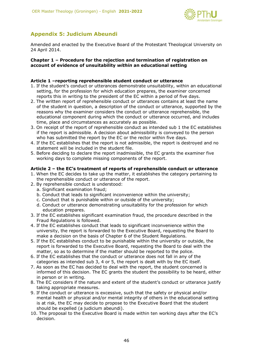

### <span id="page-45-0"></span>**Appendix 5: Judicium Abeundi**

Amended and enacted by the Executive Board of the Protestant Theological University on 24 April 2014.

### **Chapter 1 – Procedure for the rejection and termination of registration on account of evidence of unsuitability** *within* **an educational setting**

### **Article 1 –reporting reprehensible student conduct or utterance**

- 1. If the student's conduct or utterances demonstrate unsuitability, within an educational setting, for the profession for which education prepares, the examiner concerned reports this in writing to the president of the EC within a period of five days.
- 2. The written report of reprehensible conduct or utterances contains at least the name of the student in question, a description of the conduct or utterance, supported by the reasons why the examiner considers the conduct or utterance reprehensible, the educational component during which the conduct or utterance occurred, and includes time, place and circumstances as accurately as possible.
- 3. On receipt of the report of reprehensible conduct as intended sub 1 the EC establishes if the report is admissible. A decision about admissibility is conveyed to the person who has submitted the report by the EC or the rector within five days.
- 4. If the EC establishes that the report is not admissible, the report is destroyed and no statement will be included in the student file.
- 5. Before deciding to declare the report inadmissible, the EC grants the examiner five working days to complete missing components of the report.

### **Article 2 – the EC's treatment of reports of reprehensible conduct or utterance**

- 1. When the EC decides to take up the matter, it establishes the category pertaining to the reprehensible conduct or utterance of the report.
- 2. By reprehensible conduct is understood:
	- a. Significant examination fraud;
	- b. Conduct that leads to significant inconvenience within the university;
	- c. Conduct that is punishable within or outside of the university;
	- d. Conduct or utterance demonstrating unsuitability for the profession for which education prepares.
- 3. If the EC establishes significant examination fraud, the procedure described in the Fraud Regulations is followed.
- 4. If the EC establishes conduct that leads to significant inconvenience within the university, the report is forwarded to the Executive Board, requesting the Board to make a decision on the basis of Chapter 6 of the Student Regulations.
- 5. If the EC establishes conduct to be punishable within the university or outside, the report is forwarded to the Executive Board, requesting the Board to deal with the matter, so as to determine if the matter should be reported to the police.
- 6. If the EC establishes that the conduct or utterance does not fall in any of the categories as intended sub 3, 4 or 5, the report is dealt with by the EC itself.
- 7. As soon as the EC has decided to deal with the report, the student concerned is informed of this decision. The EC grants the student the possibility to be heard, either in person or in writing.
- 8. The EC considers if the nature and extent of the student's conduct or utterance justify taking appropriate measures.
- 9. If the conduct or utterance is excessive, such that the safety or physical and/or mental health or physical and/or mental integrity of others in the educational setting is at risk, the EC may decide to propose to the Executive Board that the student should be expelled (a judicium abeundi).
- 10. The proposal to the Executive Board is made within ten working days after the EC's decision.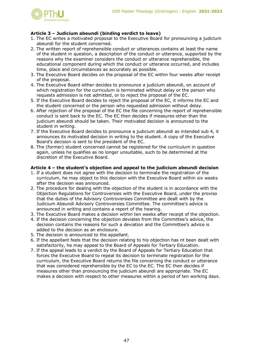

### **Article 3 – Judicium abeundi (binding verdict to leave)**

- 1. The EC writes a motivated proposal to the Executive Board for pronouncing a judicium abeundi for the student concerned.
- 2. The written report of reprehensible conduct or utterances contains at least the name of the student in question, a description of the conduct or utterance, supported by the reasons why the examiner considers the conduct or utterance reprehensible, the educational component during which the conduct or utterance occurred, and includes time, place and circumstances as accurately as possible.
- 3. The Executive Board decides on the proposal of the EC within four weeks after receipt of the proposal.
- 4. The Executive Board either decides to pronounce a judicium abeundi, on account of which registration for the curriculum is terminated without delay or the person who requests admission is not admitted, or to reject the proposal of the EC.
- 5. If the Executive Board decides to reject the proposal of the EC, it informs the EC and the student concerned or the person who requested admission without delay.
- 6. After rejection of the proposal of the EC the file concerning the report of reprehensible conduct is sent back to the EC. The EC then decides if measures other than the judicium abeundi should be taken. Their motivated decision is announced to the student in writing.
- 7. If the Executive Board decides to pronounce a judicium abeundi as intended sub 4, it announces its motivated decision in writing to the student. A copy of the Executive Board's decision is sent to the president of the EC.
- 8. The (former) student concerned cannot be registered for the curriculum in question again, unless he qualifies as no longer unsuitable, such to be determined at the discretion of the Executive Board.

### **Article 4 – the student's objection and appeal to the judicium abeundi decision**

- 1. If a student does not agree with the decision to terminate the registration of the curriculum, he may object to this decision with the Executive Board within six weeks after the decision was announced.
- 2. The procedure for dealing with the objection of the student is in accordance with the Objection Regulations for Controversies with the Executive Board, under the proviso that the duties of the Advisory Controversies Committee are dealt with by the Judicium Abeundi Advisory Controversies Committee. The committee's advice is announced in writing and contains a report of the hearing.
- 3. The Executive Board makes a decision within ten weeks after receipt of the objection.
- 4. If the decision concerning the objection deviates from the Committee's advice, the decision contains the reasons for such a deviation and the Committee's advice is added to the decision as an enclosure.
- 5. The decision is announced to the appellant.
- 6. If the appellant feels that the decision relating to his objection has nt been dealt with satisfactorily, he may appeal to the Board of Appeals for Tertiary Education.
- 7. If the appeal leads to a verdict by the Board of Appeals for Tertiary Education that forces the Executive Board to repeal its decision to terminate registration for the curriculum, the Executive Board returns the file concerning the conduct or utterance that was considered reprehensible by the EC to the EC. The EC then decides if measures other than pronouncing the judicium abeundi are appropriate. The EC makes a decision with respect to other measures within a period of ten working days.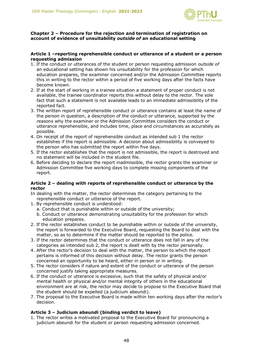

### **Chapter 2 – Procedure for the rejection and termination of registration on account of evidence of unsuitability** *outside of* **an educational setting**

### **Article 1 –reporting reprehensible conduct or utterance of a student or a person requesting admission**

- 1. If the conduct or utterances of the student or person requesting admission *outside of*  an educational setting has shown his unsuitability for the profession for which education prepares, the examiner concerned and/or the Admission Committee reports this in writing to the rector within a period of five working days after the facts have become known.
- 2. If at the start of working in a trainee situation a statement of proper conduct is not available, the trainee coordinator reports this without delay to the rector. The sole fact that such a statement is not available leads to an immediate admissibility of the reported fact.
- 3. The written report of reprehensible conduct or utterance contains at least the name of the person in question, a description of the conduct or utterance, supported by the reasons why the examiner or the Admission Committee considers the conduct or utterance reprehensible, and includes time, place and circumstances as accurately as possible.
- 4. On receipt of the report of reprehensible conduct as intended sub 1 the rector establishes if the report is admissible. A decision about admissibility is conveyed to the person who has submitted the report within five days.
- 5. If the rector establishes that the report is not admissible, the report is destroyed and no statement will be included in the student file.
- 6. Before deciding to declare the report inadmissible, the rector grants the examiner or Admission Committee five working days to complete missing components of the report.

### **Article 2 – dealing with reports of reprehensible conduct or utterance by the rector**

- In dealing with the matter, the rector determines the category pertaining to the reprehensible conduct or utterance of the report.
- 1. By reprehensible conduct is understood:
	- a. Conduct that is punishable within or outside of the university;
	- b. Conduct or utterance demonstrating unsuitability for the profession for which education prepares.
- 2. If the rector establishes conduct to be punishable within or outside of the university, the report is forwarded to the Executive Board, requesting the Board to deal with the matter, so as to determine if the matter should be reported to the police.
- 3. If the rector determines that the conduct or utterance does not fall in any of the categories as intended sub 2, the report is dealt with by the rector personally.
- 4. After the rector's decision to deal with the matter, the person to which the report pertains is informed of this decision without delay. The rector grants the person concerned an opportunity to be heard, either in person or in writing.
- 5. The rector considers if nature and extent of the conduct or utterance of the person concerned justify taking appropriate measures.
- 6. If the conduct or utterance is excessive, such that the safety of physical and/or mental health or physical and/or mental integrity of others in the educational environment are at risk, the rector may decide to propose to the Executive Board that the student should be expelled (a judicium abeundi).
- 7. The proposal to the Executive Board is made within ten working days after the rector's decision.

### **Article 3 – Judicium abeundi (binding verdict to leave)**

1. The rector writes a motivated proposal to the Executive Board for pronouncing a judicium abeundi for the student or person requesting admission concerned.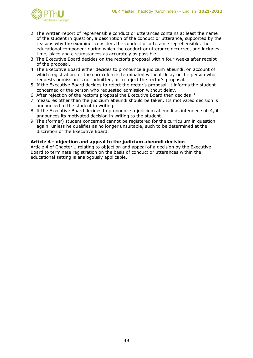

- 2. The written report of reprehensible conduct or utterances contains at least the name of the student in question, a description of the conduct or utterance, supported by the reasons why the examiner considers the conduct or utterance reprehensible, the educational component during which the conduct or utterance occurred, and includes time, place and circumstances as accurately as possible.
- 3. The Executive Board decides on the rector's proposal within four weeks after receipt of the proposal.
- 4. The Executive Board either decides to pronounce a judicium abeundi, on account of which registration for the curriculum is terminated without delay or the person who requests admission is not admitted, or to reject the rector's proposal.
- 5. If the Executive Board decides to reject the rector's proposal, it informs the student concerned or the person who requested admission without delay.
- 6. After rejection of the rector's proposal the Executive Board then decides if
- 7. measures other than the judicium abeundi should be taken. Its motivated decision is announced to the student in writing.
- 8. If the Executive Board decides to pronounce a judicium abeundi as intended sub 4, it announces its motivated decision in writing to the student.
- 9. The (former) student concerned cannot be registered for the curriculum in question again, unless he qualifies as no longer unsuitable, such to be determined at the discretion of the Executive Board.

### **Article 4 - objection and appeal to the judicium abeundi decision**

Article 4 of Chapter 1 relating to objection and appeal of a decision by the Executive Board to terminate registration on the basis of conduct or utterances within the educational setting is analogously applicable.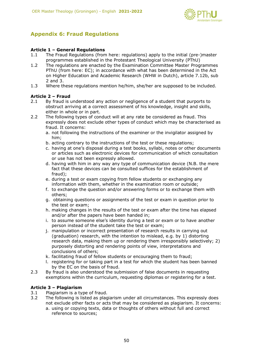

### <span id="page-49-0"></span>**Appendix 6: Fraud Regulations**

### **Article 1 – General Regulations**

- 1.1 The Fraud Regulations (from here: regulations) apply to the initial (pre-)master programmes established in the Protestant Theological University (PThU)
- 1.2 The regulations are enacted by the Examination Committee Master Programmes PThU (from here: EC); in accordance with what has been determined in the Act on Higher Education and Academic Research (WHW in Dutch), article 7.12b, sub 2 and 3.
- 1.3 Where these regulations mention he/him, she/her are supposed to be included.

### **Article 2 – Fraud**

- 2.1 By fraud is understood any action or negligence of a student that purports to obstruct arriving at a correct assessment of his knowledge, insight and skills, either in whole or in part.
- 2.2 The following types of conduct will at any rate be considered as fraud. This expressly does not exclude other types of conduct which may be characterised as fraud. It concerns:
	- a. not following the instructions of the examiner or the invigilator assigned by him;
	- b. acting contrary to the instructions of the test or these regulations;
	- c. having at one's disposal during a test books, syllabi, notes or other documents or articles such as electronic devices for communication of which consultation or use has not been expressly allowed.
	- d. having with him in any way any type of communication device (N.B. the mere fact that these devices can be consulted suffices for the establishment of fraud);
	- e. during a test or exam copying from fellow students or exchanging any information with them, whether in the examination room or outside;
	- f. to exchange the question and/or answering forms or to exchange them with others;
	- g. obtaining questions or assignments of the test or exam in question prior to the test or exam;
	- h. making changes in the results of the test or exam after the time has elapsed and/or after the papers have been handed in;
	- i. to assume someone else's identity during a test or exam or to have another person instead of the student take the test or exam;
	- j. manipulation or incorrect presentation of research results in carrying out (graduation) research, with the intention to mislead, e.g. by 1) distorting research data, making them up or rendering them irresponsibly selectively; 2) purposely distorting and rendering points of view, interpretations and conclusions of others;
	- k. facilitating fraud of fellow students or encouraging them to fraud;
	- l. registering for or taking part in a test for which the student has been banned by the EC on the basis of fraud.
- 2.3 By fraud is also understood the submission of false documents in requesting exemptions within the curriculum, requesting diplomas or registering for a test.

### **Article 3 – Plagiarism**

- 3.1 Plagiarism is a type of fraud.
- 3.2 The following is listed as plagiarism under all circumstances. This expressly does not exclude other facts or acts that may be considered as plagiarism. It concerns:
	- a. using or copying texts, data or thoughts of others without full and correct reference to sources;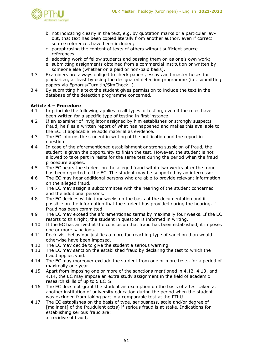

- b. not indicating clearly in the text, e.g. by quotation marks or a particular layout, that text has been copied literally from another author, even if correct source references have been included;
- c. paraphrasing the content of texts of others without sufficient source references;
- d. adopting work of fellow students and passing them on as one's own work;
- e. submitting assignments obtained from a commercial institution or written by someone else (whether on a paid or non-paid basis).
- 3.3 Examiners are always obliged to check papers, essays and mastertheses for plagiarism, at least by using the designated detection programme (i.e. submitting papers via Ephorus/Turnitin/SimCheck…).
- 3.4 By submitting his text the student gives permission to include the text in the database of the detection programme concerned.

### **Article 4 – Procedure**

- 4.1 In principle the following applies to all types of testing, even if the rules have been written for a specific type of testing in first instance.
- 4.2 If an examiner of invigilator assigned by him establishes or strongly suspects fraud, he files a written report of what has happened and makes this available to the EC. If applicable he adds material as evidence.
- 4.3 The EC informs the student in writing of the notification and the report in question.
- 4.4 In case of the aforementioned establishment or strong suspicion of fraud, the student is given the opportunity to finish the test. However, the student is not allowed to take part in resits for the same test during the period when the fraud procedure applies.
- 4.5 The EC hears the student on the alleged fraud within two weeks after the fraud has been reported to the EC. The student may be supported by an intercessor.
- 4.6 The EC may hear additional persons who are able to provide relevant information on the alleged fraud.
- 4.7 The EC may assign a subcommittee with the hearing of the student concerned and the additional persons.
- 4.8 The EC decides within four weeks on the basis of the documentation and if possible on the information that the student has provided during the hearing, if fraud has been committed.
- 4.9 The EC may exceed the aforementioned terms by maximally four weeks. If the EC resorts to this right, the student in question is informed in writing.
- 4.10 If the EC has arrived at the conclusion that fraud has been established, it imposes one or more sanctions.
- 4.11 Recidivist behaviour justifies a more far-reaching type of sanction than would otherwise have been imposed.
- 4.12 The EC may decide to give the student a serious warning.
- 4.13 The EC may sanction the established fraud by declaring the test to which the fraud applies void.
- 4.14 The EC may moreover exclude the student from one or more tests, for a period of maximally one year.
- 4.15 Apart from imposing one or more of the sanctions mentioned in 4.12, 4.13, and 4.14, the EC may impose an extra study assignment in the field of academic research skills of up to 5 ECTS.
- 4.16 The EC does not grant the student an exemption on the basis of a test taken at another institution of university education during the period when the student was excluded from taking part in a comparable test at the PThU.
- 4.17 The EC establishes on the basis of type, seriousness, scale and/or degree of [malinent] of the fraudulent act(s) if serious fraud is at stake. Indications for establishing serious fraud are: a. recidive of fraud;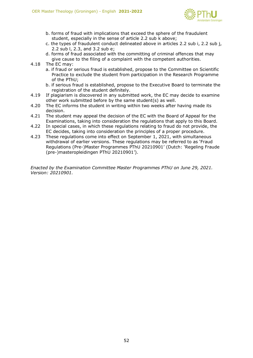

- b. forms of fraud with implications that exceed the sphere of the fraudulent student, especially in the sense of article 2.2 sub k above;
- c. the types of fraudulent conduct delineated above in articles 2.2 sub i, 2.2 sub j, 2.2 sub l, 2.3, and 3.2 sub e;
- d. forms of fraud associated with the committing of criminal offences that may give cause to the filing of a complaint with the competent authorities.
- 4.18 The EC may:
	- a. if fraud or serious fraud is established, propose to the Committee on Scientific Practice to exclude the student from participation in the Research Programme of the PThU;
	- b. if serious fraud is established, propose to the Executive Board to terminate the registration of the student definitely.
- 4.19 If plagiarism is discovered in any submitted work, the EC may decide to examine other work submitted before by the same student(s) as well.
- 4.20 The EC informs the student in writing within two weeks after having made its decision.
- 4.21 The student may appeal the decision of the EC with the Board of Appeal for the Examinations, taking into consideration the regulations that apply to this Board.
- 4.22 In special cases, in which these regulations relating to fraud do not provide, the EC decides, taking into consideration the principles of a proper procedure.
- 4.23 These regulations come into effect on September 1, 2021, with simultaneous withdrawal of earlier versions. These regulations may be referred to as 'Fraud Regulations (Pre-)Master Programmes PThU 20210901' (Dutch: 'Regeling Fraude (pre-)masteropleidingen PThU 20210901').

*Enacted by the Examination Committee Master Programmes PThU on June 29, 2021. Version: 20210901.*